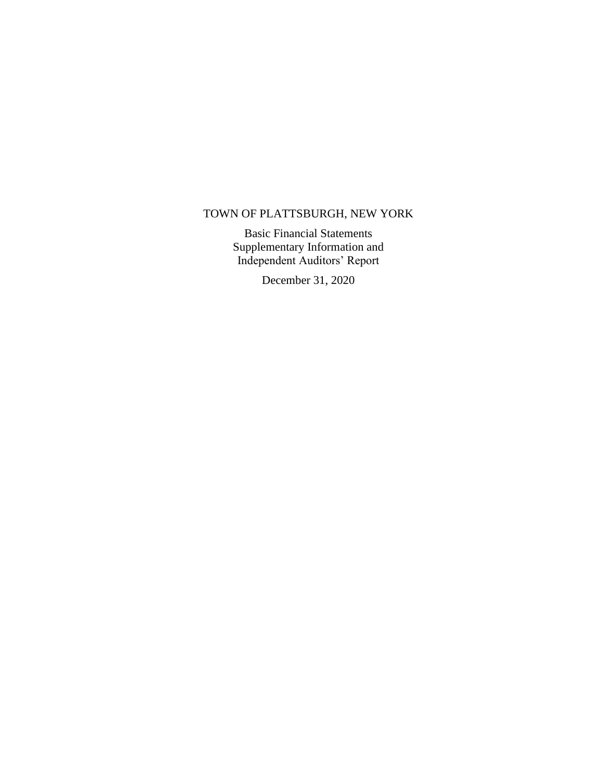Basic Financial Statements Supplementary Information and Independent Auditors' Report

December 31, 2020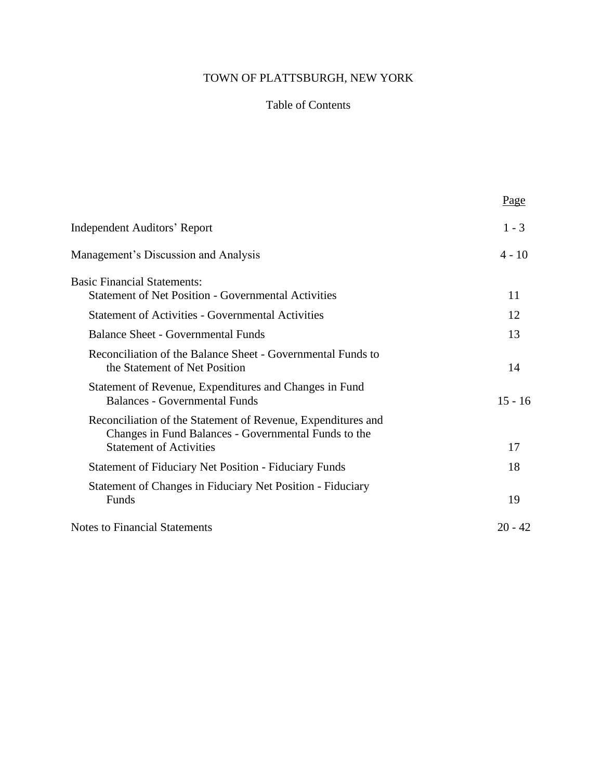# Table of Contents

|                                                                                                                      | Page      |
|----------------------------------------------------------------------------------------------------------------------|-----------|
| <b>Independent Auditors' Report</b>                                                                                  | $1 - 3$   |
| Management's Discussion and Analysis                                                                                 | $4 - 10$  |
| <b>Basic Financial Statements:</b>                                                                                   |           |
| <b>Statement of Net Position - Governmental Activities</b>                                                           | 11        |
| <b>Statement of Activities - Governmental Activities</b>                                                             | 12        |
| <b>Balance Sheet - Governmental Funds</b>                                                                            | 13        |
| Reconciliation of the Balance Sheet - Governmental Funds to<br>the Statement of Net Position                         | 14        |
| Statement of Revenue, Expenditures and Changes in Fund<br><b>Balances - Governmental Funds</b>                       | $15 - 16$ |
| Reconciliation of the Statement of Revenue, Expenditures and<br>Changes in Fund Balances - Governmental Funds to the |           |
| <b>Statement of Activities</b>                                                                                       | 17        |
| <b>Statement of Fiduciary Net Position - Fiduciary Funds</b>                                                         | 18        |
| Statement of Changes in Fiduciary Net Position - Fiduciary<br>Funds                                                  | 19        |
| <b>Notes to Financial Statements</b>                                                                                 | $20 - 42$ |
|                                                                                                                      |           |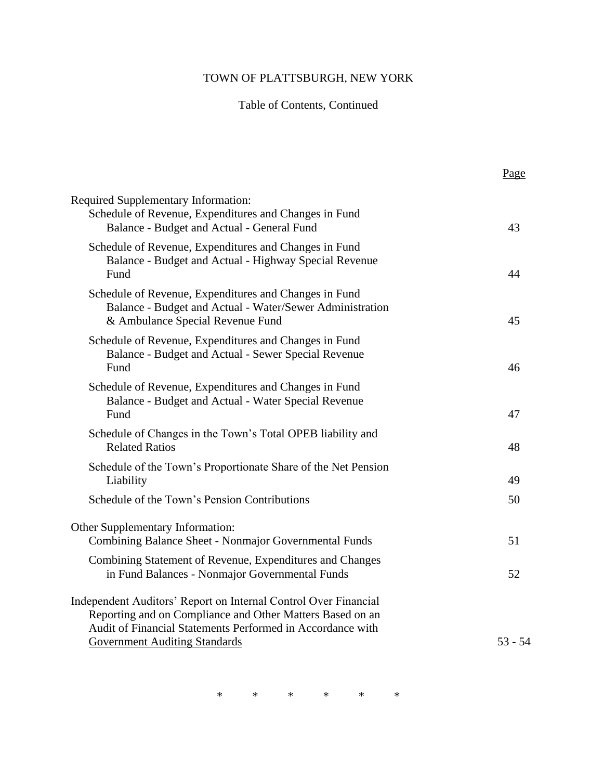# Table of Contents, Continued

|                                                                                                                                                                                            | Page      |
|--------------------------------------------------------------------------------------------------------------------------------------------------------------------------------------------|-----------|
| <b>Required Supplementary Information:</b><br>Schedule of Revenue, Expenditures and Changes in Fund<br>Balance - Budget and Actual - General Fund                                          | 43        |
| Schedule of Revenue, Expenditures and Changes in Fund<br>Balance - Budget and Actual - Highway Special Revenue<br>Fund                                                                     | 44        |
| Schedule of Revenue, Expenditures and Changes in Fund<br>Balance - Budget and Actual - Water/Sewer Administration<br>& Ambulance Special Revenue Fund                                      | 45        |
| Schedule of Revenue, Expenditures and Changes in Fund<br>Balance - Budget and Actual - Sewer Special Revenue<br>Fund                                                                       | 46        |
| Schedule of Revenue, Expenditures and Changes in Fund<br>Balance - Budget and Actual - Water Special Revenue<br>Fund                                                                       | 47        |
| Schedule of Changes in the Town's Total OPEB liability and<br><b>Related Ratios</b>                                                                                                        | 48        |
| Schedule of the Town's Proportionate Share of the Net Pension<br>Liability                                                                                                                 | 49        |
| Schedule of the Town's Pension Contributions                                                                                                                                               | 50        |
| Other Supplementary Information:<br>Combining Balance Sheet - Nonmajor Governmental Funds                                                                                                  | 51        |
| Combining Statement of Revenue, Expenditures and Changes<br>in Fund Balances - Nonmajor Governmental Funds                                                                                 | 52        |
| Independent Auditors' Report on Internal Control Over Financial<br>Reporting and on Compliance and Other Matters Based on an<br>Audit of Financial Statements Performed in Accordance with |           |
| <b>Government Auditing Standards</b>                                                                                                                                                       | $53 - 54$ |

\* \* \* \* \* \*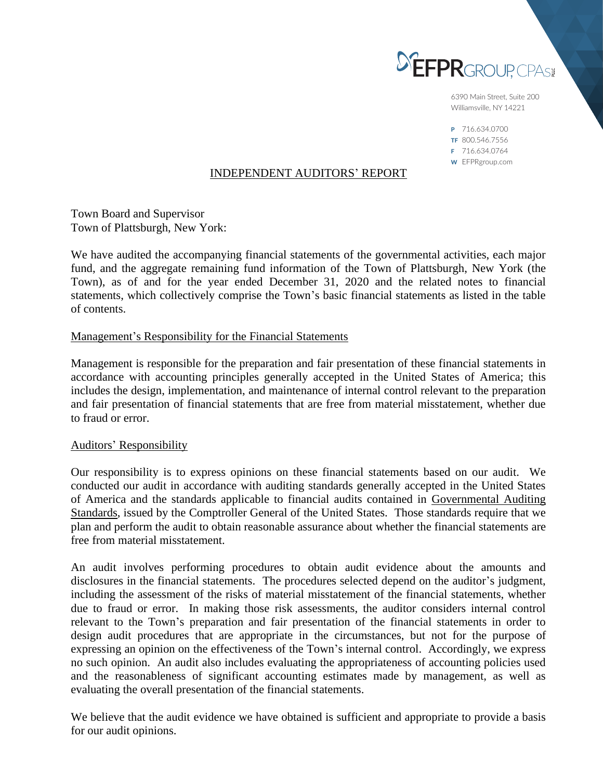

6390 Main Street, Suite 200 Williamsville, NY 14221

P 716.634.0700 TF 800.546.7556 F 716.634.0764 W EFPRgroup.com

# INDEPENDENT AUDITORS' REPORT

Town Board and Supervisor Town of Plattsburgh, New York:

We have audited the accompanying financial statements of the governmental activities, each major fund, and the aggregate remaining fund information of the Town of Plattsburgh, New York (the Town), as of and for the year ended December 31, 2020 and the related notes to financial statements, which collectively comprise the Town's basic financial statements as listed in the table of contents.

# Management's Responsibility for the Financial Statements

Management is responsible for the preparation and fair presentation of these financial statements in accordance with accounting principles generally accepted in the United States of America; this includes the design, implementation, and maintenance of internal control relevant to the preparation and fair presentation of financial statements that are free from material misstatement, whether due to fraud or error.

### Auditors' Responsibility

Our responsibility is to express opinions on these financial statements based on our audit. We conducted our audit in accordance with auditing standards generally accepted in the United States of America and the standards applicable to financial audits contained in Governmental Auditing Standards, issued by the Comptroller General of the United States. Those standards require that we plan and perform the audit to obtain reasonable assurance about whether the financial statements are free from material misstatement.

An audit involves performing procedures to obtain audit evidence about the amounts and disclosures in the financial statements. The procedures selected depend on the auditor's judgment, including the assessment of the risks of material misstatement of the financial statements, whether due to fraud or error. In making those risk assessments, the auditor considers internal control relevant to the Town's preparation and fair presentation of the financial statements in order to design audit procedures that are appropriate in the circumstances, but not for the purpose of expressing an opinion on the effectiveness of the Town's internal control. Accordingly, we express no such opinion. An audit also includes evaluating the appropriateness of accounting policies used and the reasonableness of significant accounting estimates made by management, as well as evaluating the overall presentation of the financial statements.

We believe that the audit evidence we have obtained is sufficient and appropriate to provide a basis for our audit opinions.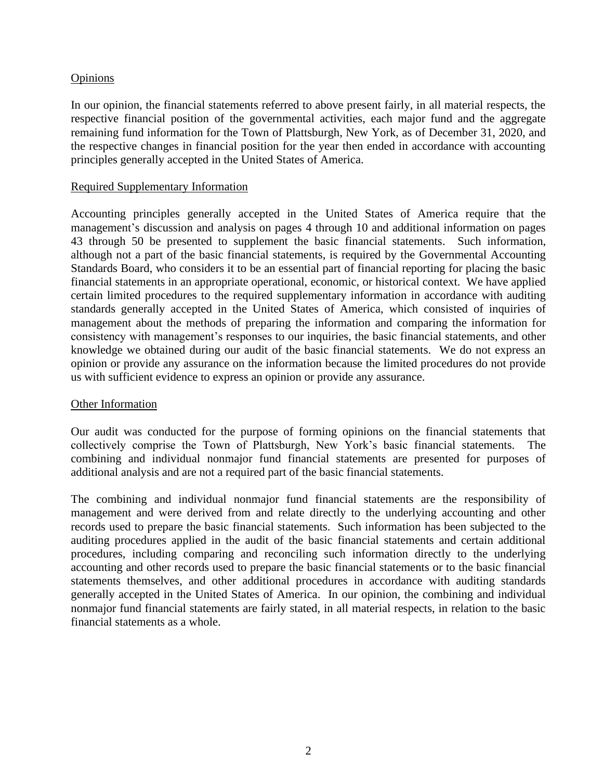# **Opinions**

In our opinion, the financial statements referred to above present fairly, in all material respects, the respective financial position of the governmental activities, each major fund and the aggregate remaining fund information for the Town of Plattsburgh, New York, as of December 31, 2020, and the respective changes in financial position for the year then ended in accordance with accounting principles generally accepted in the United States of America.

# Required Supplementary Information

Accounting principles generally accepted in the United States of America require that the management's discussion and analysis on pages 4 through 10 and additional information on pages 43 through 50 be presented to supplement the basic financial statements. Such information, although not a part of the basic financial statements, is required by the Governmental Accounting Standards Board, who considers it to be an essential part of financial reporting for placing the basic financial statements in an appropriate operational, economic, or historical context. We have applied certain limited procedures to the required supplementary information in accordance with auditing standards generally accepted in the United States of America, which consisted of inquiries of management about the methods of preparing the information and comparing the information for consistency with management's responses to our inquiries, the basic financial statements, and other knowledge we obtained during our audit of the basic financial statements. We do not express an opinion or provide any assurance on the information because the limited procedures do not provide us with sufficient evidence to express an opinion or provide any assurance.

# Other Information

Our audit was conducted for the purpose of forming opinions on the financial statements that collectively comprise the Town of Plattsburgh, New York's basic financial statements. The combining and individual nonmajor fund financial statements are presented for purposes of additional analysis and are not a required part of the basic financial statements.

The combining and individual nonmajor fund financial statements are the responsibility of management and were derived from and relate directly to the underlying accounting and other records used to prepare the basic financial statements. Such information has been subjected to the auditing procedures applied in the audit of the basic financial statements and certain additional procedures, including comparing and reconciling such information directly to the underlying accounting and other records used to prepare the basic financial statements or to the basic financial statements themselves, and other additional procedures in accordance with auditing standards generally accepted in the United States of America. In our opinion, the combining and individual nonmajor fund financial statements are fairly stated, in all material respects, in relation to the basic financial statements as a whole.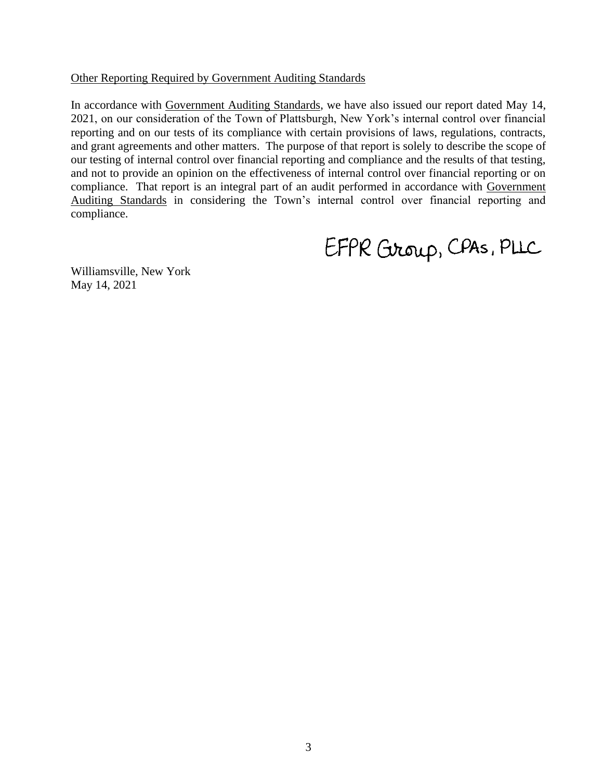# Other Reporting Required by Government Auditing Standards

In accordance with Government Auditing Standards, we have also issued our report dated May 14, 2021, on our consideration of the Town of Plattsburgh, New York's internal control over financial reporting and on our tests of its compliance with certain provisions of laws, regulations, contracts, and grant agreements and other matters. The purpose of that report is solely to describe the scope of our testing of internal control over financial reporting and compliance and the results of that testing, and not to provide an opinion on the effectiveness of internal control over financial reporting or on compliance. That report is an integral part of an audit performed in accordance with Government Auditing Standards in considering the Town's internal control over financial reporting and compliance.

EFPR Group, CPAS, PLLC

Williamsville, New York May 14, 2021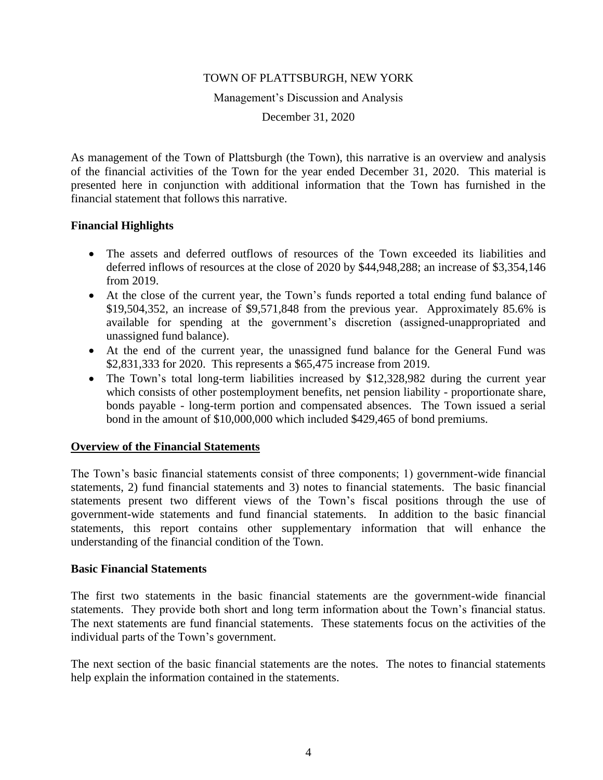Management's Discussion and Analysis

December 31, 2020

As management of the Town of Plattsburgh (the Town), this narrative is an overview and analysis of the financial activities of the Town for the year ended December 31, 2020. This material is presented here in conjunction with additional information that the Town has furnished in the financial statement that follows this narrative.

# **Financial Highlights**

- The assets and deferred outflows of resources of the Town exceeded its liabilities and deferred inflows of resources at the close of 2020 by \$44,948,288; an increase of \$3,354,146 from 2019.
- At the close of the current year, the Town's funds reported a total ending fund balance of \$19,504,352, an increase of \$9,571,848 from the previous year. Approximately 85.6% is available for spending at the government's discretion (assigned-unappropriated and unassigned fund balance).
- At the end of the current year, the unassigned fund balance for the General Fund was \$2,831,333 for 2020. This represents a \$65,475 increase from 2019.
- The Town's total long-term liabilities increased by \$12,328,982 during the current year which consists of other postemployment benefits, net pension liability - proportionate share, bonds payable - long-term portion and compensated absences. The Town issued a serial bond in the amount of \$10,000,000 which included \$429,465 of bond premiums.

# **Overview of the Financial Statements**

The Town's basic financial statements consist of three components; 1) government-wide financial statements, 2) fund financial statements and 3) notes to financial statements. The basic financial statements present two different views of the Town's fiscal positions through the use of government-wide statements and fund financial statements. In addition to the basic financial statements, this report contains other supplementary information that will enhance the understanding of the financial condition of the Town.

# **Basic Financial Statements**

The first two statements in the basic financial statements are the government-wide financial statements. They provide both short and long term information about the Town's financial status. The next statements are fund financial statements. These statements focus on the activities of the individual parts of the Town's government.

The next section of the basic financial statements are the notes. The notes to financial statements help explain the information contained in the statements.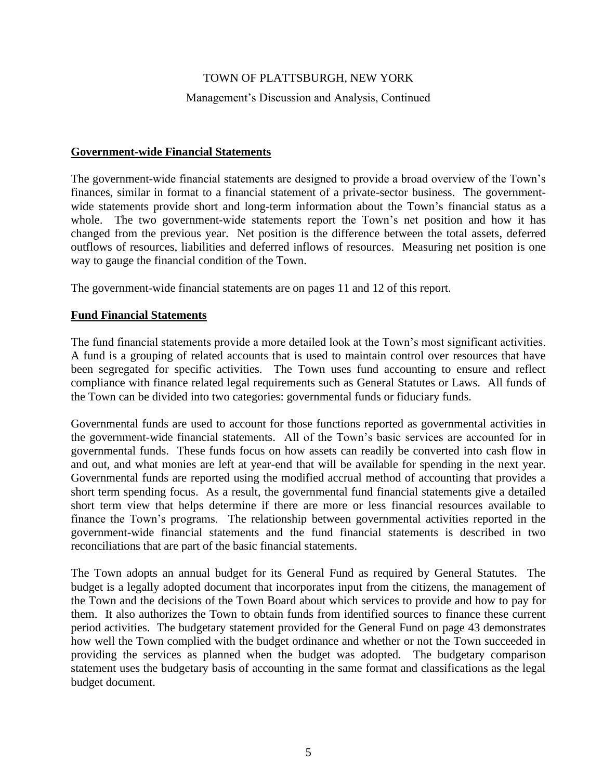# Management's Discussion and Analysis, Continued

# **Government-wide Financial Statements**

The government-wide financial statements are designed to provide a broad overview of the Town's finances, similar in format to a financial statement of a private-sector business. The governmentwide statements provide short and long-term information about the Town's financial status as a whole. The two government-wide statements report the Town's net position and how it has changed from the previous year. Net position is the difference between the total assets, deferred outflows of resources, liabilities and deferred inflows of resources. Measuring net position is one way to gauge the financial condition of the Town.

The government-wide financial statements are on pages 11 and 12 of this report.

# **Fund Financial Statements**

The fund financial statements provide a more detailed look at the Town's most significant activities. A fund is a grouping of related accounts that is used to maintain control over resources that have been segregated for specific activities. The Town uses fund accounting to ensure and reflect compliance with finance related legal requirements such as General Statutes or Laws. All funds of the Town can be divided into two categories: governmental funds or fiduciary funds.

Governmental funds are used to account for those functions reported as governmental activities in the government-wide financial statements. All of the Town's basic services are accounted for in governmental funds. These funds focus on how assets can readily be converted into cash flow in and out, and what monies are left at year-end that will be available for spending in the next year. Governmental funds are reported using the modified accrual method of accounting that provides a short term spending focus. As a result, the governmental fund financial statements give a detailed short term view that helps determine if there are more or less financial resources available to finance the Town's programs. The relationship between governmental activities reported in the government-wide financial statements and the fund financial statements is described in two reconciliations that are part of the basic financial statements.

The Town adopts an annual budget for its General Fund as required by General Statutes. The budget is a legally adopted document that incorporates input from the citizens, the management of the Town and the decisions of the Town Board about which services to provide and how to pay for them. It also authorizes the Town to obtain funds from identified sources to finance these current period activities. The budgetary statement provided for the General Fund on page 43 demonstrates how well the Town complied with the budget ordinance and whether or not the Town succeeded in providing the services as planned when the budget was adopted. The budgetary comparison statement uses the budgetary basis of accounting in the same format and classifications as the legal budget document.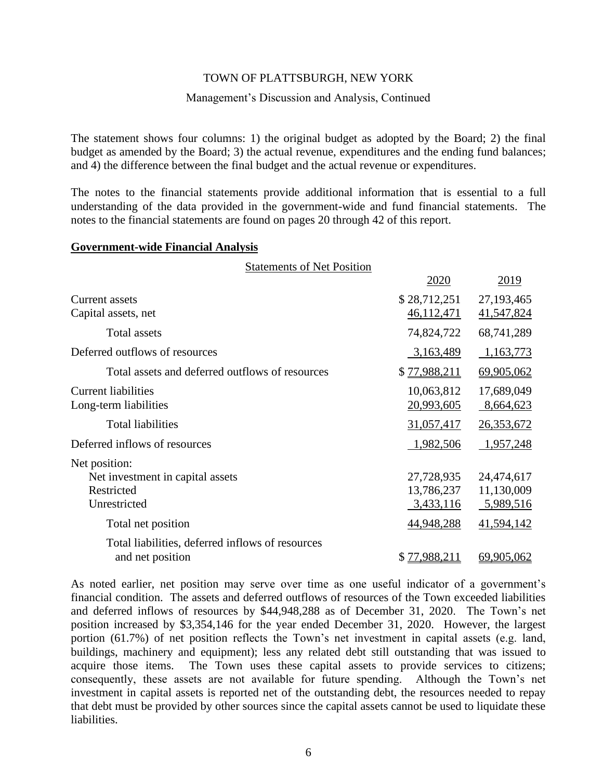#### Management's Discussion and Analysis, Continued

The statement shows four columns: 1) the original budget as adopted by the Board; 2) the final budget as amended by the Board; 3) the actual revenue, expenditures and the ending fund balances; and 4) the difference between the final budget and the actual revenue or expenditures.

The notes to the financial statements provide additional information that is essential to a full understanding of the data provided in the government-wide and fund financial statements. The notes to the financial statements are found on pages 20 through 42 of this report.

#### **Government-wide Financial Analysis**

| <b>Statements of Net Position</b>                                               | 2020                                  | 2019                                  |
|---------------------------------------------------------------------------------|---------------------------------------|---------------------------------------|
| Current assets<br>Capital assets, net                                           | \$28,712,251<br>46,112,471            | 27, 193, 465<br>41,547,824            |
| <b>Total assets</b>                                                             | 74,824,722                            | 68,741,289                            |
| Deferred outflows of resources                                                  | 3,163,489                             | 1,163,773                             |
| Total assets and deferred outflows of resources                                 | \$77,988,211                          | 69,905,062                            |
| <b>Current liabilities</b><br>Long-term liabilities                             | 10,063,812<br>20,993,605              | 17,689,049<br>8,664,623               |
| <b>Total liabilities</b>                                                        | 31,057,417                            | 26,353,672                            |
| Deferred inflows of resources                                                   | 1,982,506                             | 1,957,248                             |
| Net position:<br>Net investment in capital assets<br>Restricted<br>Unrestricted | 27,728,935<br>13,786,237<br>3,433,116 | 24,474,617<br>11,130,009<br>5,989,516 |
| Total net position                                                              | 44,948,288                            | 41,594,142                            |
| Total liabilities, deferred inflows of resources<br>and net position            | \$77,988,211                          | 69,905,062                            |

As noted earlier, net position may serve over time as one useful indicator of a government's financial condition. The assets and deferred outflows of resources of the Town exceeded liabilities and deferred inflows of resources by \$44,948,288 as of December 31, 2020. The Town's net position increased by \$3,354,146 for the year ended December 31, 2020. However, the largest portion (61.7%) of net position reflects the Town's net investment in capital assets (e.g. land, buildings, machinery and equipment); less any related debt still outstanding that was issued to acquire those items. The Town uses these capital assets to provide services to citizens; consequently, these assets are not available for future spending. Although the Town's net investment in capital assets is reported net of the outstanding debt, the resources needed to repay that debt must be provided by other sources since the capital assets cannot be used to liquidate these liabilities.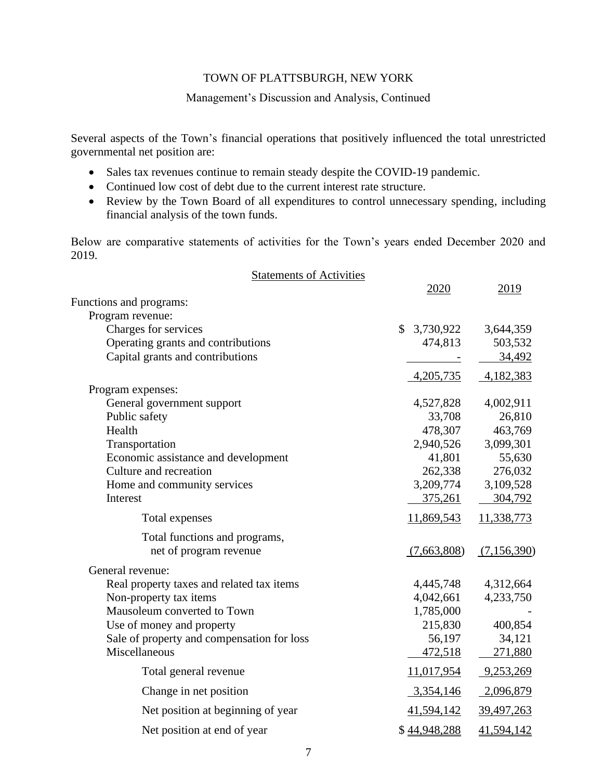# Management's Discussion and Analysis, Continued

Several aspects of the Town's financial operations that positively influenced the total unrestricted governmental net position are:

- Sales tax revenues continue to remain steady despite the COVID-19 pandemic.
- Continued low cost of debt due to the current interest rate structure.
- Review by the Town Board of all expenditures to control unnecessary spending, including financial analysis of the town funds.

Below are comparative statements of activities for the Town's years ended December 2020 and 2019.

| <b>Statements of Activities</b>            |              |               |
|--------------------------------------------|--------------|---------------|
|                                            | 2020         | 2019          |
| Functions and programs:                    |              |               |
| Program revenue:                           |              |               |
| Charges for services                       | \$3,730,922  | 3,644,359     |
| Operating grants and contributions         | 474,813      | 503,532       |
| Capital grants and contributions           |              | 34,492        |
|                                            | 4,205,735    | 4,182,383     |
| Program expenses:                          |              |               |
| General government support                 | 4,527,828    | 4,002,911     |
| Public safety                              | 33,708       | 26,810        |
| Health                                     | 478,307      | 463,769       |
| Transportation                             | 2,940,526    | 3,099,301     |
| Economic assistance and development        | 41,801       | 55,630        |
| Culture and recreation                     | 262,338      | 276,032       |
| Home and community services                | 3,209,774    | 3,109,528     |
| Interest                                   | 375,261      | 304,792       |
| Total expenses                             | 11,869,543   | 11,338,773    |
| Total functions and programs,              |              |               |
| net of program revenue                     | (7,663,808)  | (7, 156, 390) |
| General revenue:                           |              |               |
| Real property taxes and related tax items  | 4,445,748    | 4,312,664     |
| Non-property tax items                     | 4,042,661    | 4,233,750     |
| Mausoleum converted to Town                | 1,785,000    |               |
| Use of money and property                  | 215,830      | 400,854       |
| Sale of property and compensation for loss | 56,197       | 34,121        |
| Miscellaneous                              | 472,518      | 271,880       |
| Total general revenue                      | 11,017,954   | 9,253,269     |
| Change in net position                     | 3,354,146    | 2,096,879     |
| Net position at beginning of year          | 41,594,142   | 39,497,263    |
| Net position at end of year                | \$44,948,288 | 41,594,142    |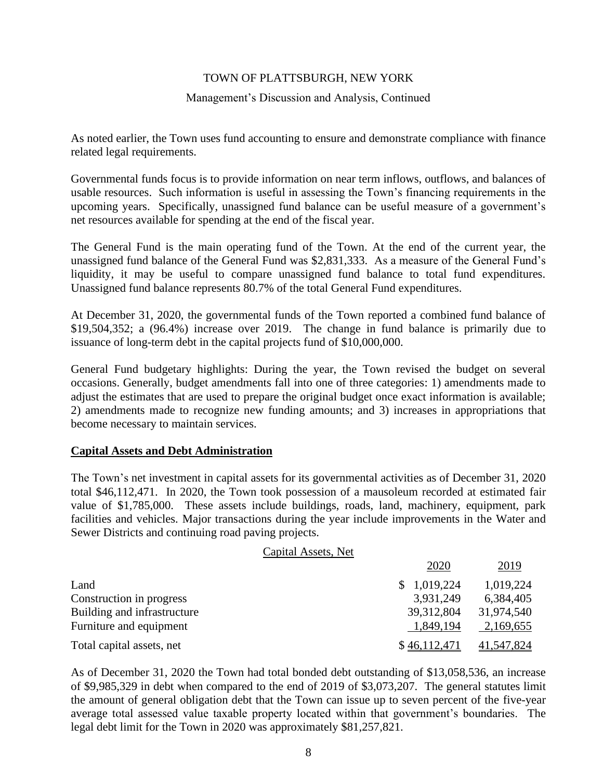# Management's Discussion and Analysis, Continued

As noted earlier, the Town uses fund accounting to ensure and demonstrate compliance with finance related legal requirements.

Governmental funds focus is to provide information on near term inflows, outflows, and balances of usable resources. Such information is useful in assessing the Town's financing requirements in the upcoming years. Specifically, unassigned fund balance can be useful measure of a government's net resources available for spending at the end of the fiscal year.

The General Fund is the main operating fund of the Town. At the end of the current year, the unassigned fund balance of the General Fund was \$2,831,333. As a measure of the General Fund's liquidity, it may be useful to compare unassigned fund balance to total fund expenditures. Unassigned fund balance represents 80.7% of the total General Fund expenditures.

At December 31, 2020, the governmental funds of the Town reported a combined fund balance of \$19,504,352; a (96.4%) increase over 2019. The change in fund balance is primarily due to issuance of long-term debt in the capital projects fund of \$10,000,000.

General Fund budgetary highlights: During the year, the Town revised the budget on several occasions. Generally, budget amendments fall into one of three categories: 1) amendments made to adjust the estimates that are used to prepare the original budget once exact information is available; 2) amendments made to recognize new funding amounts; and 3) increases in appropriations that become necessary to maintain services.

### **Capital Assets and Debt Administration**

The Town's net investment in capital assets for its governmental activities as of December 31, 2020 total \$46,112,471. In 2020, the Town took possession of a mausoleum recorded at estimated fair value of \$1,785,000. These assets include buildings, roads, land, machinery, equipment, park facilities and vehicles. Major transactions during the year include improvements in the Water and Sewer Districts and continuing road paving projects.

| Capital Assets, Net         |              |            |
|-----------------------------|--------------|------------|
|                             | 2020         | 2019       |
| Land                        | 1,019,224    | 1,019,224  |
| Construction in progress    | 3,931,249    | 6,384,405  |
| Building and infrastructure | 39, 312, 804 | 31,974,540 |
| Furniture and equipment     | 1,849,194    | 2,169,655  |
| Total capital assets, net   | \$46,112,471 | 41,547,824 |

As of December 31, 2020 the Town had total bonded debt outstanding of \$13,058,536, an increase of \$9,985,329 in debt when compared to the end of 2019 of \$3,073,207. The general statutes limit the amount of general obligation debt that the Town can issue up to seven percent of the five-year average total assessed value taxable property located within that government's boundaries. The legal debt limit for the Town in 2020 was approximately \$81,257,821.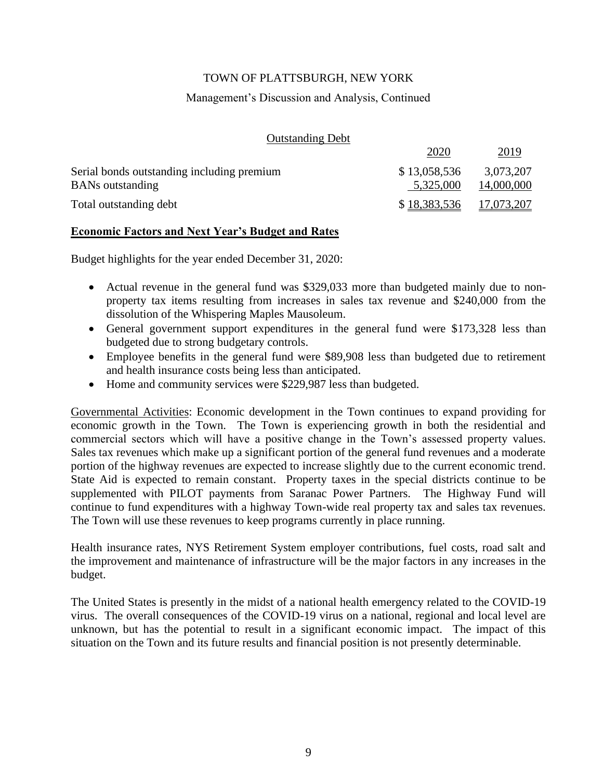# Management's Discussion and Analysis, Continued

| <b>Outstanding Debt</b>                                               |                           |                         |
|-----------------------------------------------------------------------|---------------------------|-------------------------|
|                                                                       | 2020                      | 2019                    |
| Serial bonds outstanding including premium<br><b>BANs</b> outstanding | \$13,058,536<br>5,325,000 | 3,073,207<br>14,000,000 |
| Total outstanding debt                                                | \$18,383,536              | 17,073,207              |

# **Economic Factors and Next Year's Budget and Rates**

Budget highlights for the year ended December 31, 2020:

- Actual revenue in the general fund was \$329,033 more than budgeted mainly due to nonproperty tax items resulting from increases in sales tax revenue and \$240,000 from the dissolution of the Whispering Maples Mausoleum.
- General government support expenditures in the general fund were \$173,328 less than budgeted due to strong budgetary controls.
- Employee benefits in the general fund were \$89,908 less than budgeted due to retirement and health insurance costs being less than anticipated.
- Home and community services were \$229,987 less than budgeted.

Governmental Activities: Economic development in the Town continues to expand providing for economic growth in the Town. The Town is experiencing growth in both the residential and commercial sectors which will have a positive change in the Town's assessed property values. Sales tax revenues which make up a significant portion of the general fund revenues and a moderate portion of the highway revenues are expected to increase slightly due to the current economic trend. State Aid is expected to remain constant. Property taxes in the special districts continue to be supplemented with PILOT payments from Saranac Power Partners. The Highway Fund will continue to fund expenditures with a highway Town-wide real property tax and sales tax revenues. The Town will use these revenues to keep programs currently in place running.

Health insurance rates, NYS Retirement System employer contributions, fuel costs, road salt and the improvement and maintenance of infrastructure will be the major factors in any increases in the budget.

The United States is presently in the midst of a national health emergency related to the COVID-19 virus. The overall consequences of the COVID-19 virus on a national, regional and local level are unknown, but has the potential to result in a significant economic impact. The impact of this situation on the Town and its future results and financial position is not presently determinable.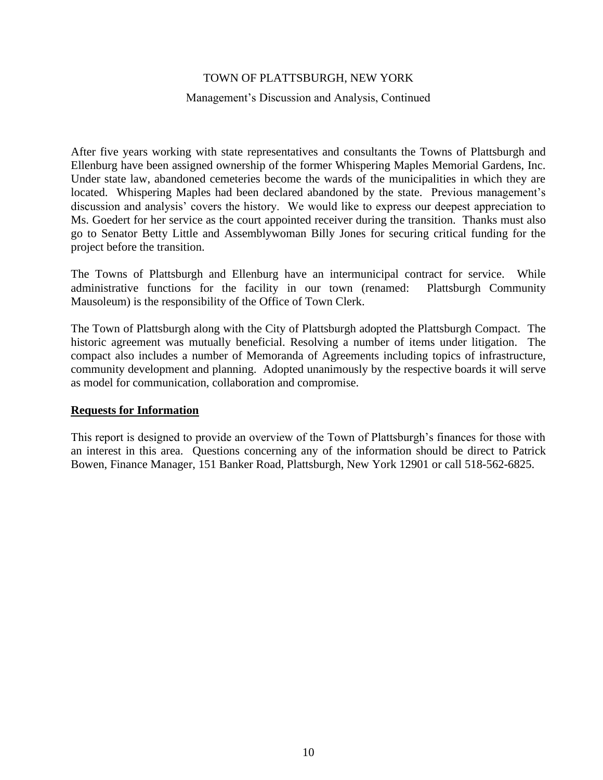## Management's Discussion and Analysis, Continued

After five years working with state representatives and consultants the Towns of Plattsburgh and Ellenburg have been assigned ownership of the former Whispering Maples Memorial Gardens, Inc. Under state law, abandoned cemeteries become the wards of the municipalities in which they are located. Whispering Maples had been declared abandoned by the state. Previous management's discussion and analysis' covers the history. We would like to express our deepest appreciation to Ms. Goedert for her service as the court appointed receiver during the transition. Thanks must also go to Senator Betty Little and Assemblywoman Billy Jones for securing critical funding for the project before the transition.

The Towns of Plattsburgh and Ellenburg have an intermunicipal contract for service. While administrative functions for the facility in our town (renamed: Plattsburgh Community Mausoleum) is the responsibility of the Office of Town Clerk.

The Town of Plattsburgh along with the City of Plattsburgh adopted the Plattsburgh Compact. The historic agreement was mutually beneficial. Resolving a number of items under litigation. The compact also includes a number of Memoranda of Agreements including topics of infrastructure, community development and planning. Adopted unanimously by the respective boards it will serve as model for communication, collaboration and compromise.

### **Requests for Information**

This report is designed to provide an overview of the Town of Plattsburgh's finances for those with an interest in this area. Questions concerning any of the information should be direct to Patrick Bowen, Finance Manager, 151 Banker Road, Plattsburgh, New York 12901 or call 518-562-6825.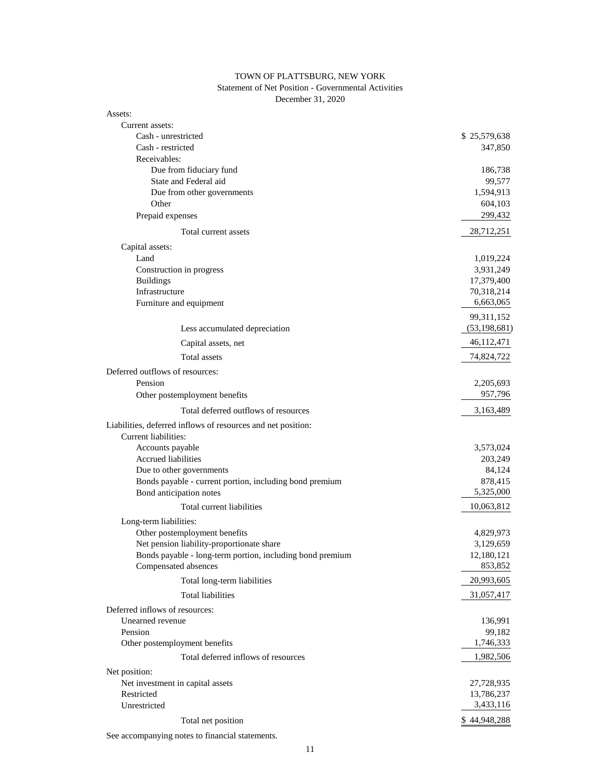#### Statement of Net Position - Governmental Activities

December 31, 2020

| Assets:                                                                           |                        |
|-----------------------------------------------------------------------------------|------------------------|
| Current assets:                                                                   |                        |
| Cash - unrestricted                                                               | \$25,579,638           |
| Cash - restricted                                                                 | 347,850                |
| Receivables:                                                                      |                        |
| Due from fiduciary fund<br>State and Federal aid                                  | 186,738                |
| Due from other governments                                                        | 99,577<br>1,594,913    |
| Other                                                                             | 604,103                |
| Prepaid expenses                                                                  | 299,432                |
| Total current assets                                                              | 28,712,251             |
|                                                                                   |                        |
| Capital assets:<br>Land                                                           |                        |
| Construction in progress                                                          | 1,019,224<br>3,931,249 |
| <b>Buildings</b>                                                                  | 17,379,400             |
| Infrastructure                                                                    | 70,318,214             |
| Furniture and equipment                                                           | 6,663,065              |
|                                                                                   | 99,311,152             |
| Less accumulated depreciation                                                     | (53, 198, 681)         |
|                                                                                   |                        |
| Capital assets, net                                                               | 46,112,471             |
| Total assets                                                                      | 74,824,722             |
| Deferred outflows of resources:                                                   |                        |
| Pension                                                                           | 2,205,693              |
| Other postemployment benefits                                                     | 957,796                |
| Total deferred outflows of resources                                              | 3,163,489              |
| Liabilities, deferred inflows of resources and net position:                      |                        |
| Current liabilities:                                                              |                        |
| Accounts payable                                                                  | 3,573,024              |
| <b>Accrued liabilities</b>                                                        | 203,249                |
| Due to other governments                                                          | 84,124                 |
| Bonds payable - current portion, including bond premium                           | 878,415                |
| Bond anticipation notes                                                           | 5,325,000              |
| Total current liabilities                                                         | 10,063,812             |
| Long-term liabilities:                                                            |                        |
| Other postemployment benefits                                                     | 4,829,973              |
| Net pension liability-proportionate share                                         | 3,129,659              |
| Bonds payable - long-term portion, including bond premium<br>Compensated absences | 12,180,121<br>853,852  |
| Total long-term liabilities                                                       | 20,993,605             |
| <b>Total liabilities</b>                                                          | 31,057,417             |
|                                                                                   |                        |
| Deferred inflows of resources:<br>Unearned revenue                                |                        |
| Pension                                                                           | 136,991<br>99,182      |
| Other postemployment benefits                                                     | 1,746,333              |
| Total deferred inflows of resources                                               | 1,982,506              |
|                                                                                   |                        |
| Net position:<br>Net investment in capital assets                                 | 27,728,935             |
| Restricted                                                                        | 13,786,237             |
| Unrestricted                                                                      | 3,433,116              |
|                                                                                   | \$44,948,288           |
| Total net position                                                                |                        |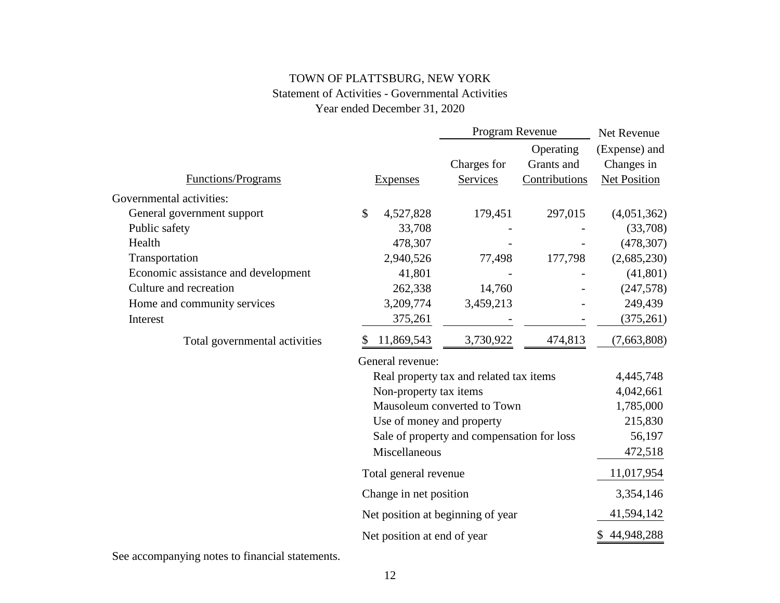# TOWN OF PLATTSBURG, NEW YORK Statement of Activities - Governmental Activities Year ended December 31, 2020

|                                     |                             | Program Revenue                            |               | Net Revenue         |
|-------------------------------------|-----------------------------|--------------------------------------------|---------------|---------------------|
|                                     |                             |                                            | Operating     | (Expense) and       |
|                                     |                             | Charges for                                | Grants and    | Changes in          |
| Functions/Programs                  | <b>Expenses</b>             | Services                                   | Contributions | <b>Net Position</b> |
| Governmental activities:            |                             |                                            |               |                     |
| General government support          | \$<br>4,527,828             | 179,451                                    | 297,015       | (4,051,362)         |
| Public safety                       | 33,708                      |                                            |               | (33,708)            |
| Health                              | 478,307                     |                                            |               | (478, 307)          |
| Transportation                      | 2,940,526                   | 77,498                                     | 177,798       | (2,685,230)         |
| Economic assistance and development | 41,801                      |                                            |               | (41, 801)           |
| Culture and recreation              | 262,338                     | 14,760                                     |               | (247,578)           |
| Home and community services         | 3,209,774                   | 3,459,213                                  |               | 249,439             |
| Interest                            | 375,261                     |                                            |               | (375,261)           |
| Total governmental activities       | 11,869,543                  | 3,730,922                                  | 474,813       | (7,663,808)         |
|                                     | General revenue:            |                                            |               |                     |
|                                     |                             | Real property tax and related tax items    |               | 4,445,748           |
|                                     | Non-property tax items      |                                            |               | 4,042,661           |
|                                     |                             | Mausoleum converted to Town                |               | 1,785,000           |
|                                     | Use of money and property   |                                            |               | 215,830             |
|                                     |                             | Sale of property and compensation for loss |               | 56,197              |
|                                     | Miscellaneous               |                                            |               | 472,518             |
|                                     | Total general revenue       |                                            |               | 11,017,954          |
|                                     | Change in net position      |                                            |               | 3,354,146           |
|                                     |                             | Net position at beginning of year          |               | 41,594,142          |
|                                     | Net position at end of year |                                            |               | 44,948,288<br>\$    |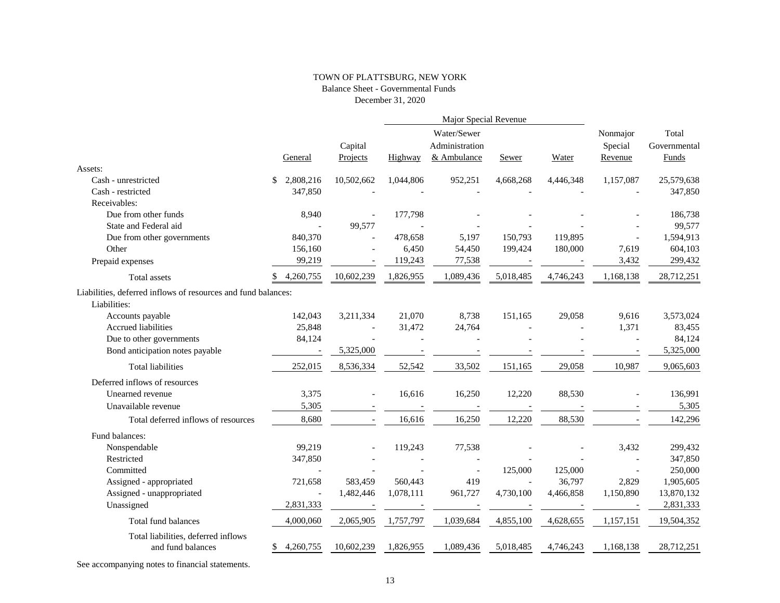#### TOWN OF PLATTSBURG, NEW YORK Balance Sheet - Governmental Funds

December 31, 2020

|                                                                               | Major Special Revenue    |                          |           |                                              |                          |           |                                |                                |
|-------------------------------------------------------------------------------|--------------------------|--------------------------|-----------|----------------------------------------------|--------------------------|-----------|--------------------------------|--------------------------------|
|                                                                               | General                  | Capital<br>Projects      | Highway   | Water/Sewer<br>Administration<br>& Ambulance | Sewer                    | Water     | Nonmajor<br>Special<br>Revenue | Total<br>Governmental<br>Funds |
| Assets:                                                                       |                          |                          |           |                                              |                          |           |                                |                                |
| Cash - unrestricted                                                           | \$<br>2,808,216          | 10,502,662               | 1,044,806 | 952,251                                      | 4,668,268                | 4,446,348 | 1,157,087                      | 25,579,638                     |
| Cash - restricted                                                             | 347,850                  |                          |           |                                              |                          |           |                                | 347,850                        |
| Receivables:                                                                  |                          |                          |           |                                              |                          |           |                                |                                |
| Due from other funds                                                          | 8,940                    |                          | 177,798   |                                              |                          |           |                                | 186,738                        |
| State and Federal aid                                                         |                          | 99,577                   |           |                                              |                          |           |                                | 99,577                         |
| Due from other governments                                                    | 840,370                  | $\overline{\phantom{a}}$ | 478,658   | 5,197                                        | 150,793                  | 119,895   |                                | 1,594,913                      |
| Other                                                                         | 156,160                  |                          | 6,450     | 54,450                                       | 199,424                  | 180,000   | 7,619                          | 604,103                        |
| Prepaid expenses                                                              | 99,219                   |                          | 119,243   | 77,538                                       | $\overline{\phantom{a}}$ |           | 3,432                          | 299,432                        |
| Total assets                                                                  | 4,260,755                | 10,602,239               | 1,826,955 | 1,089,436                                    | 5,018,485                | 4,746,243 | 1,168,138                      | 28,712,251                     |
| Liabilities, deferred inflows of resources and fund balances:<br>Liabilities: |                          |                          |           |                                              |                          |           |                                |                                |
| Accounts payable                                                              | 142,043                  | 3,211,334                | 21,070    | 8,738                                        | 151,165                  | 29,058    | 9,616                          | 3,573,024                      |
| Accrued liabilities                                                           | 25,848                   |                          | 31,472    | 24,764                                       |                          |           | 1,371                          | 83,455                         |
| Due to other governments                                                      | 84,124                   |                          |           |                                              |                          |           |                                | 84,124                         |
| Bond anticipation notes payable                                               |                          | 5,325,000                |           |                                              |                          |           |                                | 5,325,000                      |
| <b>Total liabilities</b>                                                      | 252,015                  | 8,536,334                | 52,542    | 33,502                                       | 151,165                  | 29,058    | 10,987                         | 9,065,603                      |
| Deferred inflows of resources                                                 |                          |                          |           |                                              |                          |           |                                |                                |
| Unearned revenue                                                              | 3,375                    | $\overline{a}$           | 16,616    | 16,250                                       | 12,220                   | 88,530    |                                | 136,991                        |
| Unavailable revenue                                                           | 5,305                    |                          |           |                                              |                          |           |                                | 5,305                          |
| Total deferred inflows of resources                                           | 8,680                    |                          | 16,616    | 16,250                                       | 12,220                   | 88,530    |                                | 142,296                        |
| Fund balances:                                                                |                          |                          |           |                                              |                          |           |                                |                                |
| Nonspendable                                                                  | 99,219                   |                          | 119,243   | 77,538                                       |                          |           | 3,432                          | 299,432                        |
| Restricted                                                                    | 347,850                  |                          |           |                                              |                          |           | $\overline{a}$                 | 347,850                        |
| Committed                                                                     | $\overline{\phantom{a}}$ |                          |           | $\overline{\phantom{a}}$                     | 125,000                  | 125,000   | $\overline{a}$                 | 250,000                        |
| Assigned - appropriated                                                       | 721,658                  | 583,459                  | 560,443   | 419                                          | $\overline{\phantom{a}}$ | 36,797    | 2,829                          | 1,905,605                      |
| Assigned - unappropriated                                                     | $\overline{\phantom{a}}$ | 1,482,446                | 1,078,111 | 961,727                                      | 4,730,100                | 4,466,858 | 1,150,890                      | 13,870,132                     |
| Unassigned                                                                    | 2,831,333                |                          |           |                                              |                          |           |                                | 2,831,333                      |
| Total fund balances                                                           | 4,000,060                | 2,065,905                | 1,757,797 | 1,039,684                                    | 4,855,100                | 4,628,655 | 1,157,151                      | 19,504,352                     |
| Total liabilities, deferred inflows<br>and fund balances                      | 4,260,755<br>\$          | 10,602,239               | 1,826,955 | 1,089,436                                    | 5,018,485                | 4,746,243 | 1,168,138                      | 28,712,251                     |
|                                                                               |                          |                          |           |                                              |                          |           |                                |                                |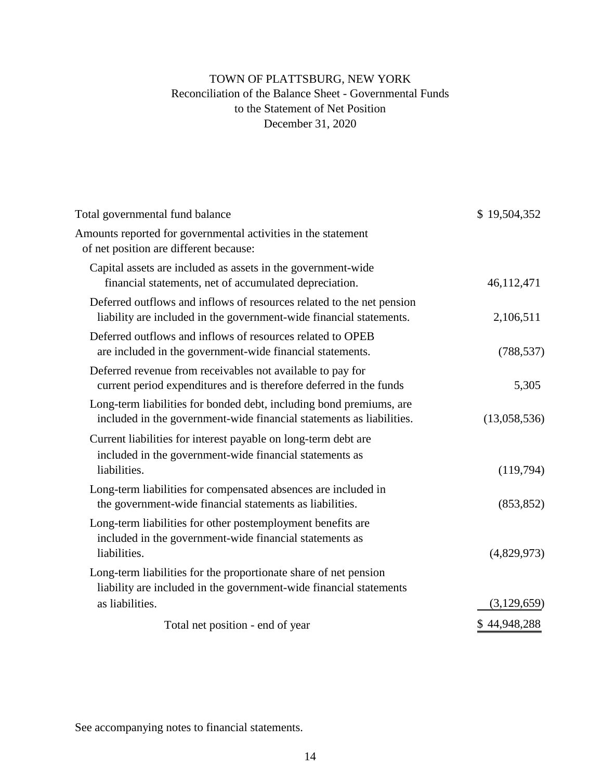# Reconciliation of the Balance Sheet - Governmental Funds to the Statement of Net Position December 31, 2020 TOWN OF PLATTSBURG, NEW YORK

| Total governmental fund balance                                                                                                              | \$19,504,352 |
|----------------------------------------------------------------------------------------------------------------------------------------------|--------------|
| Amounts reported for governmental activities in the statement<br>of net position are different because:                                      |              |
| Capital assets are included as assets in the government-wide<br>financial statements, net of accumulated depreciation.                       | 46,112,471   |
| Deferred outflows and inflows of resources related to the net pension<br>liability are included in the government-wide financial statements. | 2,106,511    |
| Deferred outflows and inflows of resources related to OPEB<br>are included in the government-wide financial statements.                      | (788, 537)   |
| Deferred revenue from receivables not available to pay for<br>current period expenditures and is therefore deferred in the funds             | 5,305        |
| Long-term liabilities for bonded debt, including bond premiums, are<br>included in the government-wide financial statements as liabilities.  | (13,058,536) |
| Current liabilities for interest payable on long-term debt are<br>included in the government-wide financial statements as                    |              |
| liabilities.                                                                                                                                 | (119,794)    |
| Long-term liabilities for compensated absences are included in<br>the government-wide financial statements as liabilities.                   | (853, 852)   |
| Long-term liabilities for other postemployment benefits are<br>included in the government-wide financial statements as                       |              |
| liabilities.                                                                                                                                 | (4,829,973)  |
| Long-term liabilities for the proportionate share of net pension<br>liability are included in the government-wide financial statements       |              |
| as liabilities.                                                                                                                              | (3,129,659)  |
| Total net position - end of year                                                                                                             | \$44,948,288 |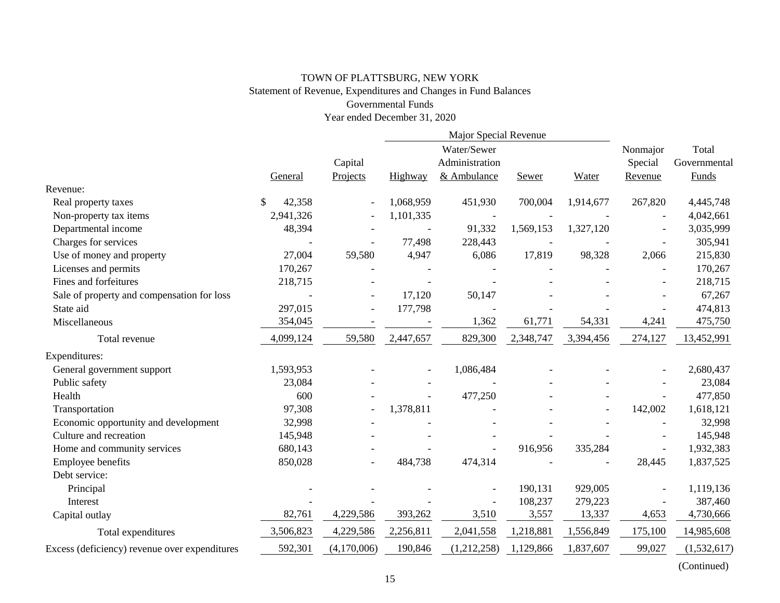### TOWN OF PLATTSBURG, NEW YORK Statement of Revenue, Expenditures and Changes in Fund Balances Governmental Funds Year ended December 31, 2020

Water/Sewer Nonmajor Total Capital Administration Special Governmental General Projects Highway & Ambulance Sewer Water Revenue Funds Revenue: Real property taxes  $\begin{array}{cccc} 8 & 42,358 & -1,068,959 & 451,930 & 700,004 & 1,914,677 & 267,820 & 4,445,748 \end{array}$ Non-property tax items 2,941,326 - 1,101,335 - - - - 4,042,661 Departmental income 48,394 - 91,332 1,569,153 1,327,120 - 3,035,999 Charges for services and the services of the services of the services of the services of the services of the services of the services of the services of the services of the services of the services of the services of the s Use of money and property  $27,004$   $59,580$   $4,947$   $6,086$   $17,819$   $98,328$   $2,066$   $215,830$ Licenses and permits **170,267** - - - - - - - - - - - - 170,267 Fines and forfeitures 218.715 - - - - - - - - - 218.715 Sale of property and compensation for loss  $\qquad \qquad -17,120 \qquad \qquad 50,147$ State aid **297,015** - 177,798 - - - - - - - 474,813 Miscellaneous 354,045 - 1,362 61,771 54,331 4,241 475,750 Total revenue 4,099,124 59,580 2,447,657 829,300 2,348,747 3,394,456 274,127 13,452,991 Expenditures: General government support and the support and the 1,593,953 degree of the support of the 1,086,484 of the support of the 2,680,437 Public safety 23,084 - - - - - - - - - - - - 23,084 Health 600 - - 477,250 - - 477,850 - 477,850 Transportation 1.578,811 - 1,378,811 - 1,378,811 - 1,42,002 1,618,121 Economic opportunity and development 32,998 - - - - - - - - - - - - - - - 32,998 Culture and recreation **145,948** - - - - - - - - - - - - - 145,948 Home and community services 680,143 - - - 916,956 335,284 - 1,932,383 Employee benefits 850,028 - 484,738 474,314 - 28,445 1,837,525 Debt service: Principal 190,131 929,005 - 1,119,136 Interest - - - - 108,237 279,223 - 387,460 Capital outlay 682,761 4,229,586 393,262 3,510 3,557 13,337 4,653 4,730,666 Total expenditures 3,506,823 4,229,586 2,256,811 2,041,558 1,218,881 1,556,849 175,100 14,985,608 Excess (deficiency) revenue over expenditures 592,301 (4,170,006) 190,846 (1,212,258) 1,129,866 1,837,607 99,027 (1,532,617) Major Special Revenue

(Continued)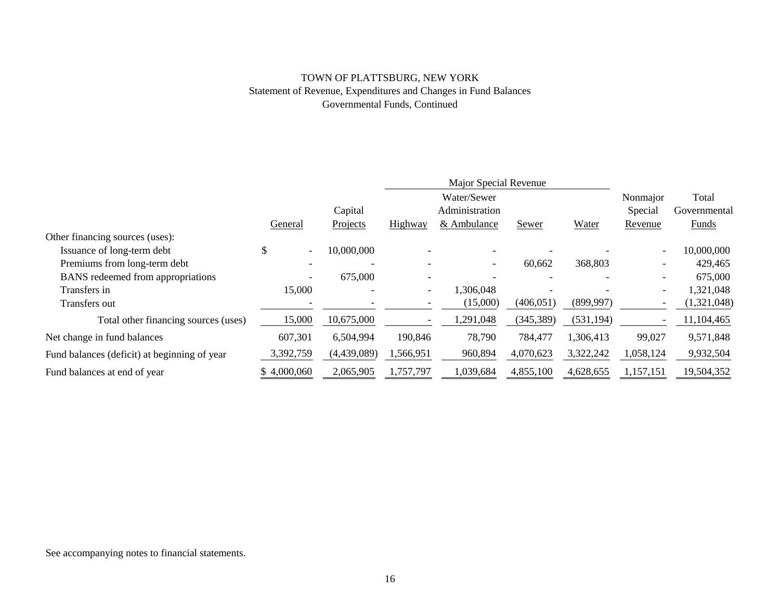# TOWN OF PLATTSBURG, NEW YORK Statement of Revenue, Expenditures and Changes in Fund Balances Governmental Funds, Continued

|                                              |                          |                          |                          | <b>Major Special Revenue</b>                 |            |            |                                |                                |
|----------------------------------------------|--------------------------|--------------------------|--------------------------|----------------------------------------------|------------|------------|--------------------------------|--------------------------------|
|                                              | General                  | Capital<br>Projects      | Highway                  | Water/Sewer<br>Administration<br>& Ambulance | Sewer      | Water      | Nonmajor<br>Special<br>Revenue | Total<br>Governmental<br>Funds |
| Other financing sources (uses):              |                          |                          |                          |                                              |            |            |                                |                                |
| Issuance of long-term debt                   | $\overline{\phantom{0}}$ | 10,000,000               |                          |                                              |            |            | $\overline{\phantom{0}}$       | 10,000,000                     |
| Premiums from long-term debt                 |                          | $\overline{\phantom{0}}$ |                          |                                              | 60,662     | 368,803    | $\overline{\phantom{0}}$       | 429,465                        |
| BANS redeemed from appropriations            |                          | 675,000                  |                          |                                              |            |            |                                | 675,000                        |
| Transfers in                                 | 15,000                   | $\overline{\phantom{0}}$ | $\overline{\phantom{0}}$ | 1,306,048                                    |            |            |                                | 1,321,048                      |
| Transfers out                                |                          |                          |                          | (15,000)                                     | (406, 051) | (899, 997) |                                | (1,321,048)                    |
| Total other financing sources (uses)         | 15,000                   | 10,675,000               |                          | 1,291,048                                    | (345, 389) | (531, 194) |                                | 11,104,465                     |
| Net change in fund balances                  | 607,301                  | 6,504,994                | 190,846                  | 78,790                                       | 784,477    | 1,306,413  | 99,027                         | 9,571,848                      |
| Fund balances (deficit) at beginning of year | 3,392,759                | (4,439,089)              | 1,566,951                | 960,894                                      | 4,070,623  | 3,322,242  | 1,058,124                      | 9,932,504                      |
| Fund balances at end of year                 | \$4,000,060              | 2,065,905                | 1,757,797                | 1,039,684                                    | 4,855,100  | 4,628,655  | 1,157,151                      | 19,504,352                     |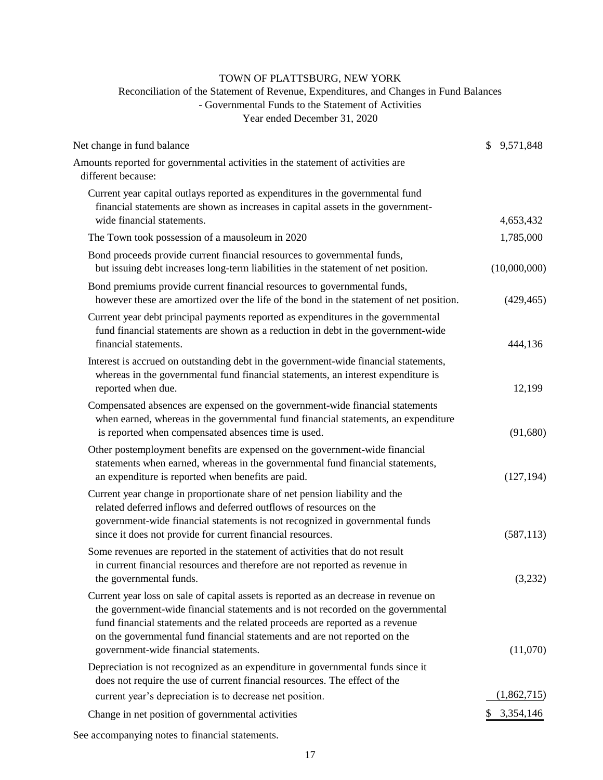# Reconciliation of the Statement of Revenue, Expenditures, and Changes in Fund Balances - Governmental Funds to the Statement of Activities Year ended December 31, 2020

| Net change in fund balance                                                                                                                                                                                                                                                                                                                                                     | \$9,571,848  |
|--------------------------------------------------------------------------------------------------------------------------------------------------------------------------------------------------------------------------------------------------------------------------------------------------------------------------------------------------------------------------------|--------------|
| Amounts reported for governmental activities in the statement of activities are<br>different because:                                                                                                                                                                                                                                                                          |              |
| Current year capital outlays reported as expenditures in the governmental fund<br>financial statements are shown as increases in capital assets in the government-<br>wide financial statements.                                                                                                                                                                               | 4,653,432    |
| The Town took possession of a mausoleum in 2020                                                                                                                                                                                                                                                                                                                                | 1,785,000    |
| Bond proceeds provide current financial resources to governmental funds,<br>but issuing debt increases long-term liabilities in the statement of net position.                                                                                                                                                                                                                 | (10,000,000) |
| Bond premiums provide current financial resources to governmental funds,<br>however these are amortized over the life of the bond in the statement of net position.                                                                                                                                                                                                            | (429, 465)   |
| Current year debt principal payments reported as expenditures in the governmental<br>fund financial statements are shown as a reduction in debt in the government-wide<br>financial statements.                                                                                                                                                                                | 444,136      |
| Interest is accrued on outstanding debt in the government-wide financial statements,<br>whereas in the governmental fund financial statements, an interest expenditure is<br>reported when due.                                                                                                                                                                                | 12,199       |
| Compensated absences are expensed on the government-wide financial statements<br>when earned, whereas in the governmental fund financial statements, an expenditure<br>is reported when compensated absences time is used.                                                                                                                                                     | (91,680)     |
| Other postemployment benefits are expensed on the government-wide financial<br>statements when earned, whereas in the governmental fund financial statements,<br>an expenditure is reported when benefits are paid.                                                                                                                                                            | (127, 194)   |
| Current year change in proportionate share of net pension liability and the<br>related deferred inflows and deferred outflows of resources on the<br>government-wide financial statements is not recognized in governmental funds<br>since it does not provide for current financial resources.                                                                                | (587, 113)   |
| Some revenues are reported in the statement of activities that do not result<br>in current financial resources and therefore are not reported as revenue in<br>the governmental funds.                                                                                                                                                                                         | (3,232)      |
| Current year loss on sale of capital assets is reported as an decrease in revenue on<br>the government-wide financial statements and is not recorded on the governmental<br>fund financial statements and the related proceeds are reported as a revenue<br>on the governmental fund financial statements and are not reported on the<br>government-wide financial statements. | (11,070)     |
| Depreciation is not recognized as an expenditure in governmental funds since it<br>does not require the use of current financial resources. The effect of the                                                                                                                                                                                                                  |              |
| current year's depreciation is to decrease net position.                                                                                                                                                                                                                                                                                                                       | (1,862,715)  |
| Change in net position of governmental activities                                                                                                                                                                                                                                                                                                                              | \$3,354,146  |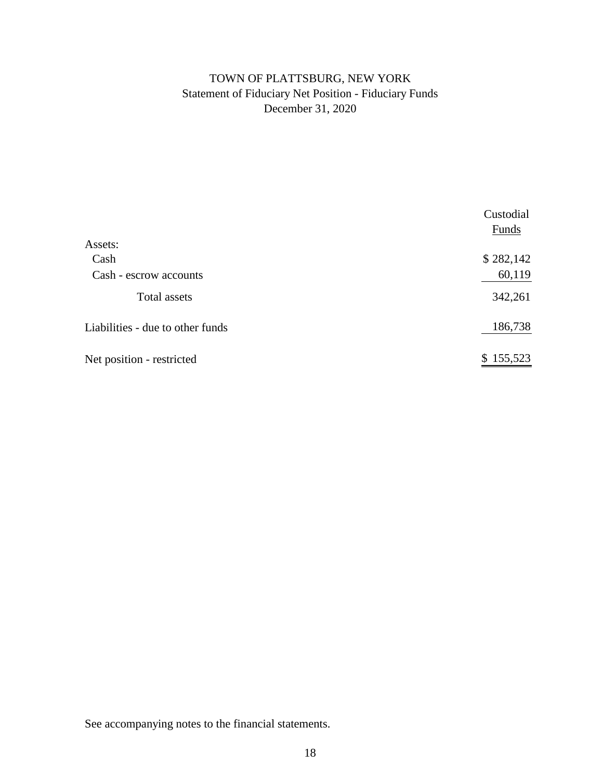# TOWN OF PLATTSBURG, NEW YORK Statement of Fiduciary Net Position - Fiduciary Funds December 31, 2020

|                                  | Custodial<br>Funds |
|----------------------------------|--------------------|
| Assets:                          |                    |
| Cash                             | \$282,142          |
| Cash - escrow accounts           | 60,119             |
| Total assets                     | 342,261            |
| Liabilities - due to other funds | 186,738            |
| Net position - restricted        | \$155,523          |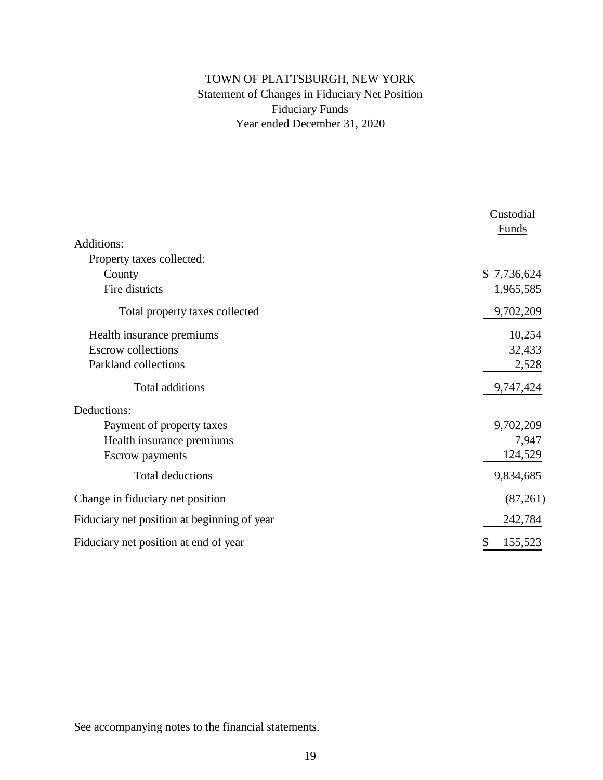# Year ended December 31, 2020 Fiduciary Funds Statement of Changes in Fiduciary Net Position TOWN OF PLATTSBURGH, NEW YORK

|                                             | Custodial     |
|---------------------------------------------|---------------|
|                                             | <b>Funds</b>  |
| Additions:                                  |               |
| Property taxes collected:                   |               |
| County                                      | \$7,736,624   |
| Fire districts                              | 1,965,585     |
| Total property taxes collected              | 9,702,209     |
| Health insurance premiums                   | 10,254        |
| <b>Escrow collections</b>                   | 32,433        |
| Parkland collections                        | 2,528         |
| Total additions                             | 9,747,424     |
| Deductions:                                 |               |
| Payment of property taxes                   | 9,702,209     |
| Health insurance premiums                   | 7,947         |
| <b>Escrow</b> payments                      | 124,529       |
| Total deductions                            | 9,834,685     |
| Change in fiduciary net position            | (87,261)      |
| Fiduciary net position at beginning of year | 242,784       |
| Fiduciary net position at end of year       | 155,523<br>\$ |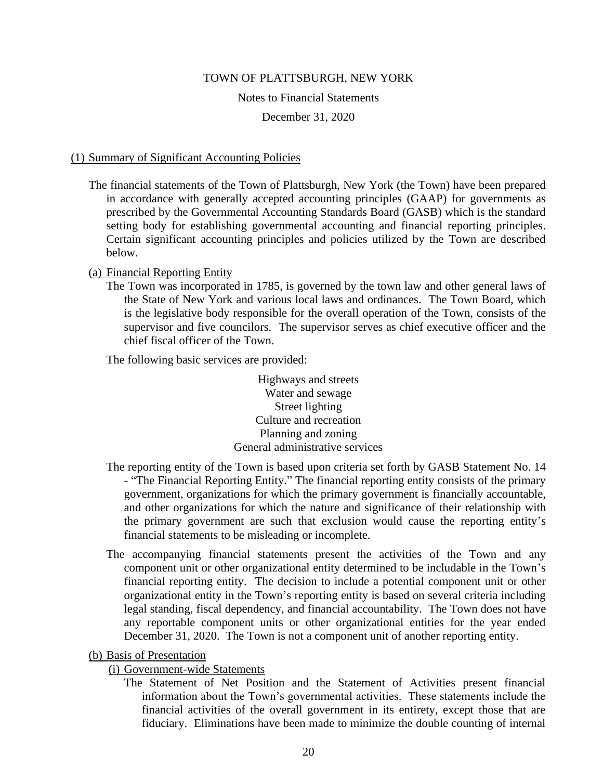## Notes to Financial Statements

December 31, 2020

# (1) Summary of Significant Accounting Policies

The financial statements of the Town of Plattsburgh, New York (the Town) have been prepared in accordance with generally accepted accounting principles (GAAP) for governments as prescribed by the Governmental Accounting Standards Board (GASB) which is the standard setting body for establishing governmental accounting and financial reporting principles. Certain significant accounting principles and policies utilized by the Town are described below.

## (a) Financial Reporting Entity

The Town was incorporated in 1785, is governed by the town law and other general laws of the State of New York and various local laws and ordinances. The Town Board, which is the legislative body responsible for the overall operation of the Town, consists of the supervisor and five councilors. The supervisor serves as chief executive officer and the chief fiscal officer of the Town.

The following basic services are provided:

Highways and streets Water and sewage Street lighting Culture and recreation Planning and zoning General administrative services

- The reporting entity of the Town is based upon criteria set forth by GASB Statement No. 14 - "The Financial Reporting Entity." The financial reporting entity consists of the primary government, organizations for which the primary government is financially accountable, and other organizations for which the nature and significance of their relationship with the primary government are such that exclusion would cause the reporting entity's financial statements to be misleading or incomplete.
- The accompanying financial statements present the activities of the Town and any component unit or other organizational entity determined to be includable in the Town's financial reporting entity. The decision to include a potential component unit or other organizational entity in the Town's reporting entity is based on several criteria including legal standing, fiscal dependency, and financial accountability. The Town does not have any reportable component units or other organizational entities for the year ended December 31, 2020. The Town is not a component unit of another reporting entity.

#### (b) Basis of Presentation

## (i) Government-wide Statements

The Statement of Net Position and the Statement of Activities present financial information about the Town's governmental activities. These statements include the financial activities of the overall government in its entirety, except those that are fiduciary. Eliminations have been made to minimize the double counting of internal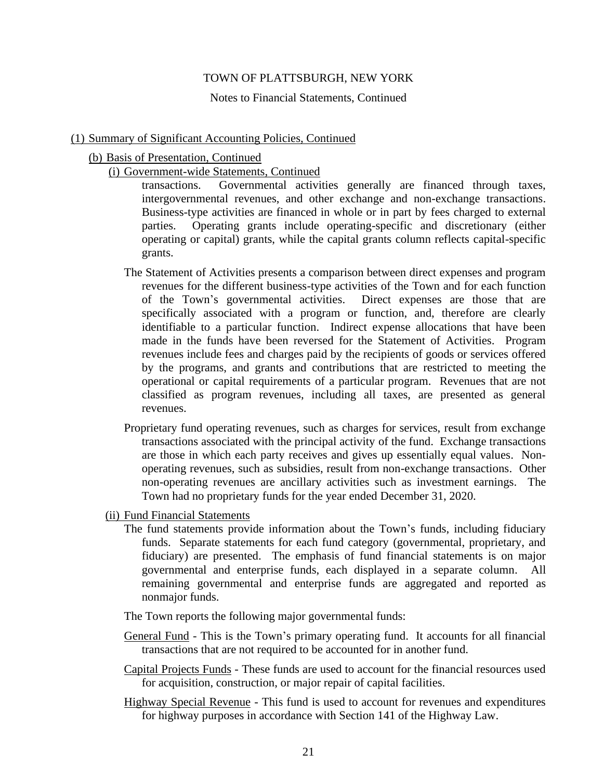### Notes to Financial Statements, Continued

#### (1) Summary of Significant Accounting Policies, Continued

- (b) Basis of Presentation, Continued
	- (i) Government-wide Statements, Continued

transactions. Governmental activities generally are financed through taxes, intergovernmental revenues, and other exchange and non-exchange transactions. Business-type activities are financed in whole or in part by fees charged to external parties. Operating grants include operating-specific and discretionary (either operating or capital) grants, while the capital grants column reflects capital-specific grants.

- The Statement of Activities presents a comparison between direct expenses and program revenues for the different business-type activities of the Town and for each function of the Town's governmental activities. Direct expenses are those that are specifically associated with a program or function, and, therefore are clearly identifiable to a particular function. Indirect expense allocations that have been made in the funds have been reversed for the Statement of Activities. Program revenues include fees and charges paid by the recipients of goods or services offered by the programs, and grants and contributions that are restricted to meeting the operational or capital requirements of a particular program. Revenues that are not classified as program revenues, including all taxes, are presented as general revenues.
- Proprietary fund operating revenues, such as charges for services, result from exchange transactions associated with the principal activity of the fund. Exchange transactions are those in which each party receives and gives up essentially equal values. Nonoperating revenues, such as subsidies, result from non-exchange transactions. Other non-operating revenues are ancillary activities such as investment earnings. The Town had no proprietary funds for the year ended December 31, 2020.
- (ii) Fund Financial Statements
	- The fund statements provide information about the Town's funds, including fiduciary funds. Separate statements for each fund category (governmental, proprietary, and fiduciary) are presented. The emphasis of fund financial statements is on major governmental and enterprise funds, each displayed in a separate column. All remaining governmental and enterprise funds are aggregated and reported as nonmajor funds.
	- The Town reports the following major governmental funds:
	- General Fund This is the Town's primary operating fund. It accounts for all financial transactions that are not required to be accounted for in another fund.
	- Capital Projects Funds These funds are used to account for the financial resources used for acquisition, construction, or major repair of capital facilities.
	- Highway Special Revenue This fund is used to account for revenues and expenditures for highway purposes in accordance with Section 141 of the Highway Law.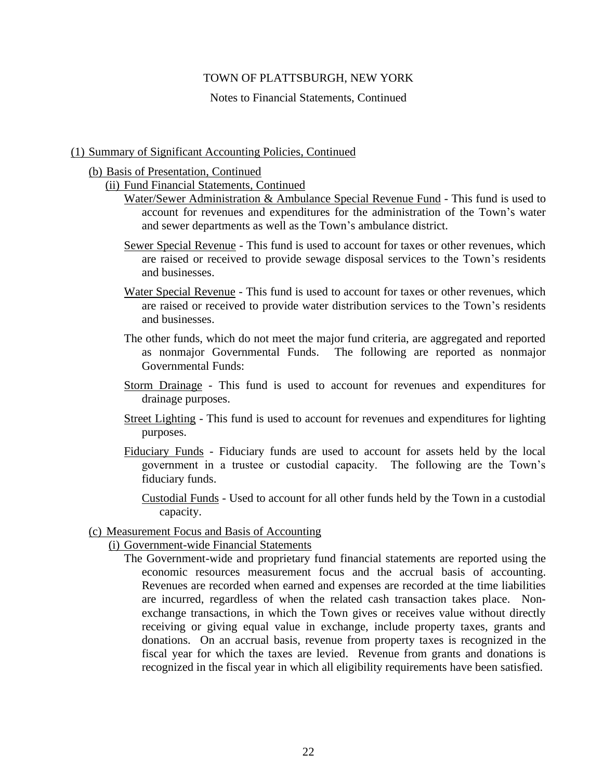### Notes to Financial Statements, Continued

#### (1) Summary of Significant Accounting Policies, Continued

- (b) Basis of Presentation, Continued
	- (ii) Fund Financial Statements, Continued
		- Water/Sewer Administration & Ambulance Special Revenue Fund This fund is used to account for revenues and expenditures for the administration of the Town's water and sewer departments as well as the Town's ambulance district.
		- Sewer Special Revenue This fund is used to account for taxes or other revenues, which are raised or received to provide sewage disposal services to the Town's residents and businesses.
		- Water Special Revenue This fund is used to account for taxes or other revenues, which are raised or received to provide water distribution services to the Town's residents and businesses.
		- The other funds, which do not meet the major fund criteria, are aggregated and reported as nonmajor Governmental Funds. The following are reported as nonmajor Governmental Funds:
		- Storm Drainage This fund is used to account for revenues and expenditures for drainage purposes.
		- Street Lighting This fund is used to account for revenues and expenditures for lighting purposes.
		- Fiduciary Funds Fiduciary funds are used to account for assets held by the local government in a trustee or custodial capacity. The following are the Town's fiduciary funds.
			- Custodial Funds Used to account for all other funds held by the Town in a custodial capacity.

# (c) Measurement Focus and Basis of Accounting

(i) Government-wide Financial Statements

The Government-wide and proprietary fund financial statements are reported using the economic resources measurement focus and the accrual basis of accounting. Revenues are recorded when earned and expenses are recorded at the time liabilities are incurred, regardless of when the related cash transaction takes place. Nonexchange transactions, in which the Town gives or receives value without directly receiving or giving equal value in exchange, include property taxes, grants and donations. On an accrual basis, revenue from property taxes is recognized in the fiscal year for which the taxes are levied. Revenue from grants and donations is recognized in the fiscal year in which all eligibility requirements have been satisfied.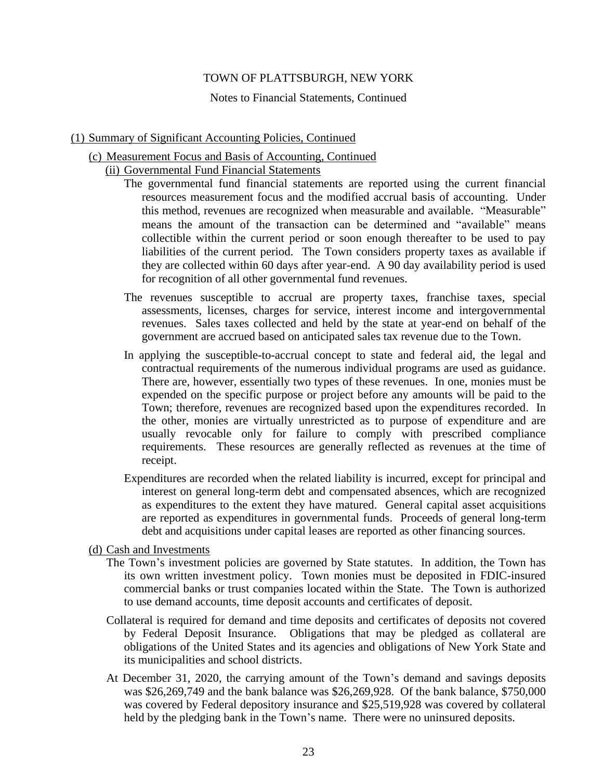### Notes to Financial Statements, Continued

### (1) Summary of Significant Accounting Policies, Continued

- (c) Measurement Focus and Basis of Accounting, Continued
	- (ii) Governmental Fund Financial Statements
		- The governmental fund financial statements are reported using the current financial resources measurement focus and the modified accrual basis of accounting. Under this method, revenues are recognized when measurable and available. "Measurable" means the amount of the transaction can be determined and "available" means collectible within the current period or soon enough thereafter to be used to pay liabilities of the current period. The Town considers property taxes as available if they are collected within 60 days after year-end. A 90 day availability period is used for recognition of all other governmental fund revenues.
		- The revenues susceptible to accrual are property taxes, franchise taxes, special assessments, licenses, charges for service, interest income and intergovernmental revenues. Sales taxes collected and held by the state at year-end on behalf of the government are accrued based on anticipated sales tax revenue due to the Town.
		- In applying the susceptible-to-accrual concept to state and federal aid, the legal and contractual requirements of the numerous individual programs are used as guidance. There are, however, essentially two types of these revenues. In one, monies must be expended on the specific purpose or project before any amounts will be paid to the Town; therefore, revenues are recognized based upon the expenditures recorded. In the other, monies are virtually unrestricted as to purpose of expenditure and are usually revocable only for failure to comply with prescribed compliance requirements. These resources are generally reflected as revenues at the time of receipt.
		- Expenditures are recorded when the related liability is incurred, except for principal and interest on general long-term debt and compensated absences, which are recognized as expenditures to the extent they have matured. General capital asset acquisitions are reported as expenditures in governmental funds. Proceeds of general long-term debt and acquisitions under capital leases are reported as other financing sources.
- (d) Cash and Investments
	- The Town's investment policies are governed by State statutes. In addition, the Town has its own written investment policy. Town monies must be deposited in FDIC-insured commercial banks or trust companies located within the State. The Town is authorized to use demand accounts, time deposit accounts and certificates of deposit.
	- Collateral is required for demand and time deposits and certificates of deposits not covered by Federal Deposit Insurance. Obligations that may be pledged as collateral are obligations of the United States and its agencies and obligations of New York State and its municipalities and school districts.
	- At December 31, 2020, the carrying amount of the Town's demand and savings deposits was \$26,269,749 and the bank balance was \$26,269,928. Of the bank balance, \$750,000 was covered by Federal depository insurance and \$25,519,928 was covered by collateral held by the pledging bank in the Town's name. There were no uninsured deposits.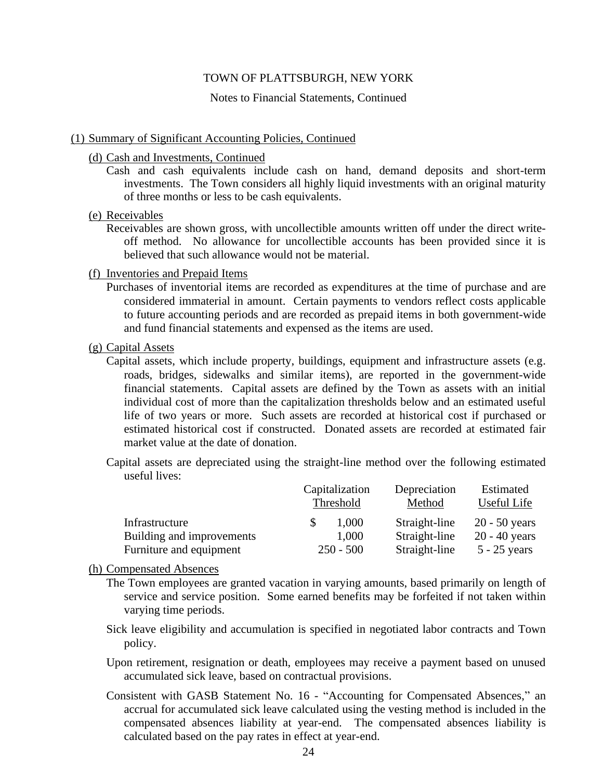### Notes to Financial Statements, Continued

#### (1) Summary of Significant Accounting Policies, Continued

- (d) Cash and Investments, Continued
	- Cash and cash equivalents include cash on hand, demand deposits and short-term investments. The Town considers all highly liquid investments with an original maturity of three months or less to be cash equivalents.
- (e) Receivables
	- Receivables are shown gross, with uncollectible amounts written off under the direct writeoff method. No allowance for uncollectible accounts has been provided since it is believed that such allowance would not be material.
- (f) Inventories and Prepaid Items
	- Purchases of inventorial items are recorded as expenditures at the time of purchase and are considered immaterial in amount. Certain payments to vendors reflect costs applicable to future accounting periods and are recorded as prepaid items in both government-wide and fund financial statements and expensed as the items are used.
- (g) Capital Assets
	- Capital assets, which include property, buildings, equipment and infrastructure assets (e.g. roads, bridges, sidewalks and similar items), are reported in the government-wide financial statements. Capital assets are defined by the Town as assets with an initial individual cost of more than the capitalization thresholds below and an estimated useful life of two years or more. Such assets are recorded at historical cost if purchased or estimated historical cost if constructed. Donated assets are recorded at estimated fair market value at the date of donation.
	- Capital assets are depreciated using the straight-line method over the following estimated useful lives:

|                           | Capitalization |             | Depreciation  | Estimated       |
|---------------------------|----------------|-------------|---------------|-----------------|
|                           |                | Threshold   | Method        | Useful Life     |
| Infrastructure            | S.             | 1,000       | Straight-line | $20 - 50$ years |
| Building and improvements |                | 1,000       | Straight-line | $20 - 40$ years |
| Furniture and equipment   |                | $250 - 500$ | Straight-line | $5 - 25$ years  |

## (h) Compensated Absences

- The Town employees are granted vacation in varying amounts, based primarily on length of service and service position. Some earned benefits may be forfeited if not taken within varying time periods.
- Sick leave eligibility and accumulation is specified in negotiated labor contracts and Town policy.
- Upon retirement, resignation or death, employees may receive a payment based on unused accumulated sick leave, based on contractual provisions.
- Consistent with GASB Statement No. 16 "Accounting for Compensated Absences," an accrual for accumulated sick leave calculated using the vesting method is included in the compensated absences liability at year-end. The compensated absences liability is calculated based on the pay rates in effect at year-end.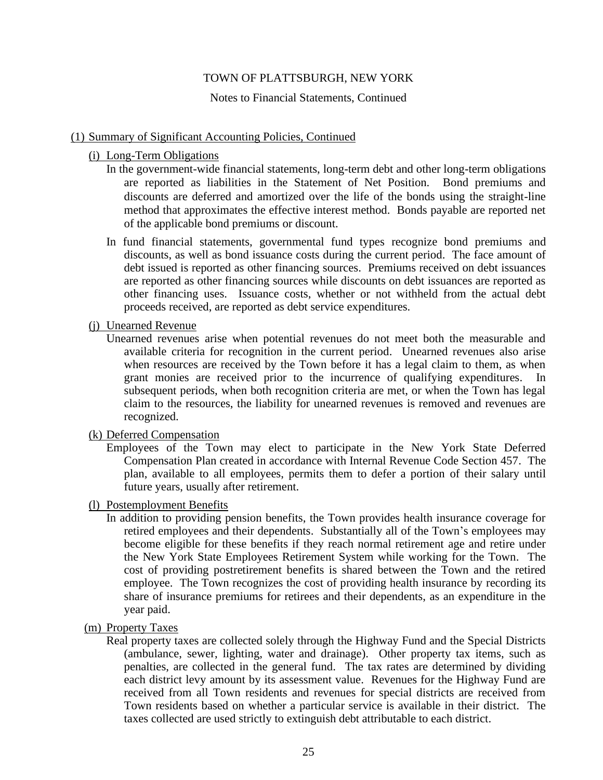### Notes to Financial Statements, Continued

### (1) Summary of Significant Accounting Policies, Continued

### (i) Long-Term Obligations

- In the government-wide financial statements, long-term debt and other long-term obligations are reported as liabilities in the Statement of Net Position. Bond premiums and discounts are deferred and amortized over the life of the bonds using the straight-line method that approximates the effective interest method. Bonds payable are reported net of the applicable bond premiums or discount.
- In fund financial statements, governmental fund types recognize bond premiums and discounts, as well as bond issuance costs during the current period. The face amount of debt issued is reported as other financing sources. Premiums received on debt issuances are reported as other financing sources while discounts on debt issuances are reported as other financing uses. Issuance costs, whether or not withheld from the actual debt proceeds received, are reported as debt service expenditures.
- (j) Unearned Revenue
	- Unearned revenues arise when potential revenues do not meet both the measurable and available criteria for recognition in the current period. Unearned revenues also arise when resources are received by the Town before it has a legal claim to them, as when grant monies are received prior to the incurrence of qualifying expenditures. In subsequent periods, when both recognition criteria are met, or when the Town has legal claim to the resources, the liability for unearned revenues is removed and revenues are recognized.

#### (k) Deferred Compensation

Employees of the Town may elect to participate in the New York State Deferred Compensation Plan created in accordance with Internal Revenue Code Section 457. The plan, available to all employees, permits them to defer a portion of their salary until future years, usually after retirement.

- (l) Postemployment Benefits
	- In addition to providing pension benefits, the Town provides health insurance coverage for retired employees and their dependents. Substantially all of the Town's employees may become eligible for these benefits if they reach normal retirement age and retire under the New York State Employees Retirement System while working for the Town. The cost of providing postretirement benefits is shared between the Town and the retired employee. The Town recognizes the cost of providing health insurance by recording its share of insurance premiums for retirees and their dependents, as an expenditure in the year paid.

# (m) Property Taxes

Real property taxes are collected solely through the Highway Fund and the Special Districts (ambulance, sewer, lighting, water and drainage). Other property tax items, such as penalties, are collected in the general fund. The tax rates are determined by dividing each district levy amount by its assessment value. Revenues for the Highway Fund are received from all Town residents and revenues for special districts are received from Town residents based on whether a particular service is available in their district. The taxes collected are used strictly to extinguish debt attributable to each district.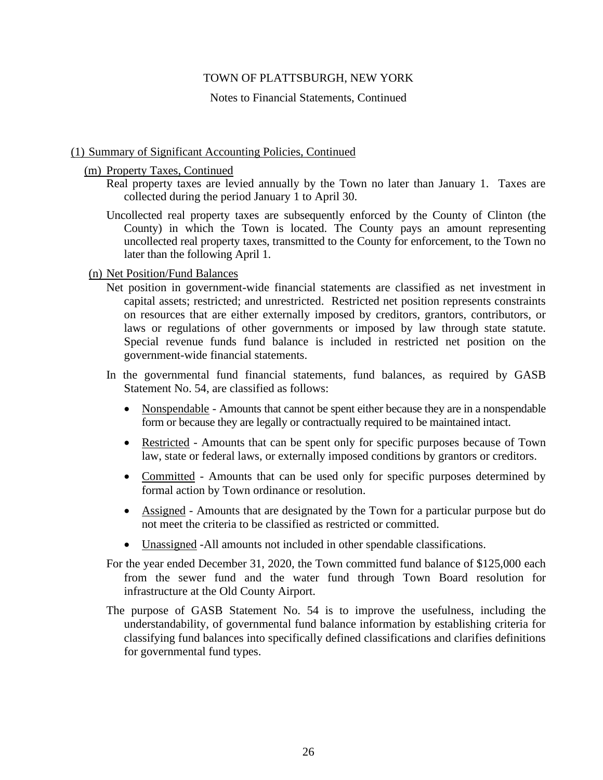# Notes to Financial Statements, Continued

# (1) Summary of Significant Accounting Policies, Continued

## (m) Property Taxes, Continued

Real property taxes are levied annually by the Town no later than January 1. Taxes are collected during the period January 1 to April 30.

Uncollected real property taxes are subsequently enforced by the County of Clinton (the County) in which the Town is located. The County pays an amount representing uncollected real property taxes, transmitted to the County for enforcement, to the Town no later than the following April 1.

(n) Net Position/Fund Balances

- Net position in government-wide financial statements are classified as net investment in capital assets; restricted; and unrestricted. Restricted net position represents constraints on resources that are either externally imposed by creditors, grantors, contributors, or laws or regulations of other governments or imposed by law through state statute. Special revenue funds fund balance is included in restricted net position on the government-wide financial statements.
- In the governmental fund financial statements, fund balances, as required by GASB Statement No. 54, are classified as follows:
	- Nonspendable Amounts that cannot be spent either because they are in a nonspendable form or because they are legally or contractually required to be maintained intact.
	- Restricted Amounts that can be spent only for specific purposes because of Town law, state or federal laws, or externally imposed conditions by grantors or creditors.
	- Committed Amounts that can be used only for specific purposes determined by formal action by Town ordinance or resolution.
	- Assigned Amounts that are designated by the Town for a particular purpose but do not meet the criteria to be classified as restricted or committed.
	- Unassigned -All amounts not included in other spendable classifications.
- For the year ended December 31, 2020, the Town committed fund balance of \$125,000 each from the sewer fund and the water fund through Town Board resolution for infrastructure at the Old County Airport.
- The purpose of GASB Statement No. 54 is to improve the usefulness, including the understandability, of governmental fund balance information by establishing criteria for classifying fund balances into specifically defined classifications and clarifies definitions for governmental fund types.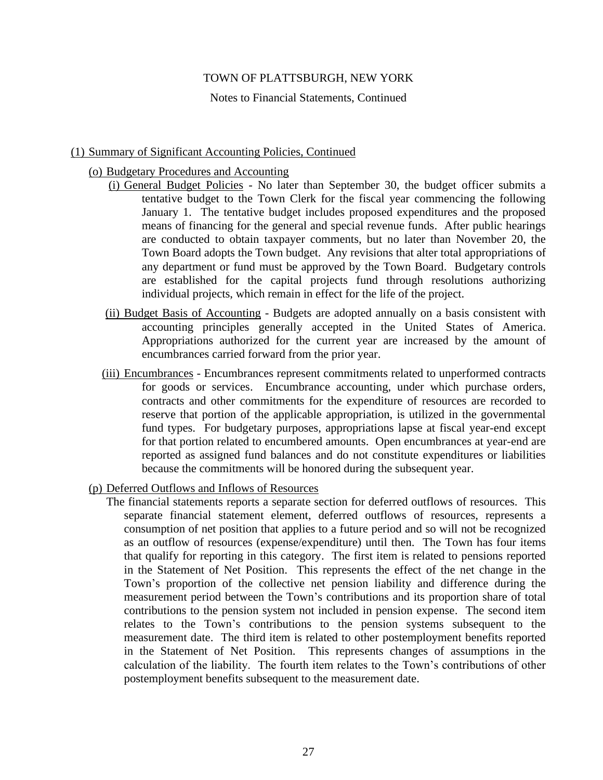### Notes to Financial Statements, Continued

### (1) Summary of Significant Accounting Policies, Continued

- (o) Budgetary Procedures and Accounting
	- (i) General Budget Policies No later than September 30, the budget officer submits a tentative budget to the Town Clerk for the fiscal year commencing the following January 1. The tentative budget includes proposed expenditures and the proposed means of financing for the general and special revenue funds. After public hearings are conducted to obtain taxpayer comments, but no later than November 20, the Town Board adopts the Town budget. Any revisions that alter total appropriations of any department or fund must be approved by the Town Board. Budgetary controls are established for the capital projects fund through resolutions authorizing individual projects, which remain in effect for the life of the project.
	- (ii) Budget Basis of Accounting Budgets are adopted annually on a basis consistent with accounting principles generally accepted in the United States of America. Appropriations authorized for the current year are increased by the amount of encumbrances carried forward from the prior year.
	- (iii) Encumbrances Encumbrances represent commitments related to unperformed contracts for goods or services. Encumbrance accounting, under which purchase orders, contracts and other commitments for the expenditure of resources are recorded to reserve that portion of the applicable appropriation, is utilized in the governmental fund types. For budgetary purposes, appropriations lapse at fiscal year-end except for that portion related to encumbered amounts. Open encumbrances at year-end are reported as assigned fund balances and do not constitute expenditures or liabilities because the commitments will be honored during the subsequent year.
- (p) Deferred Outflows and Inflows of Resources
	- The financial statements reports a separate section for deferred outflows of resources. This separate financial statement element, deferred outflows of resources, represents a consumption of net position that applies to a future period and so will not be recognized as an outflow of resources (expense/expenditure) until then. The Town has four items that qualify for reporting in this category. The first item is related to pensions reported in the Statement of Net Position. This represents the effect of the net change in the Town's proportion of the collective net pension liability and difference during the measurement period between the Town's contributions and its proportion share of total contributions to the pension system not included in pension expense. The second item relates to the Town's contributions to the pension systems subsequent to the measurement date. The third item is related to other postemployment benefits reported in the Statement of Net Position. This represents changes of assumptions in the calculation of the liability. The fourth item relates to the Town's contributions of other postemployment benefits subsequent to the measurement date.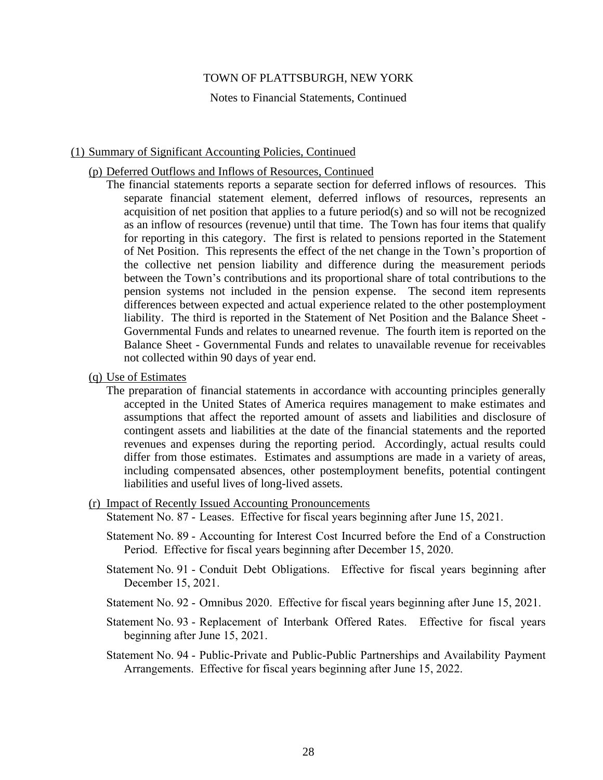### Notes to Financial Statements, Continued

### (1) Summary of Significant Accounting Policies, Continued

# (p) Deferred Outflows and Inflows of Resources, Continued

- The financial statements reports a separate section for deferred inflows of resources. This separate financial statement element, deferred inflows of resources, represents an acquisition of net position that applies to a future period(s) and so will not be recognized as an inflow of resources (revenue) until that time. The Town has four items that qualify for reporting in this category. The first is related to pensions reported in the Statement of Net Position. This represents the effect of the net change in the Town's proportion of the collective net pension liability and difference during the measurement periods between the Town's contributions and its proportional share of total contributions to the pension systems not included in the pension expense. The second item represents differences between expected and actual experience related to the other postemployment liability. The third is reported in the Statement of Net Position and the Balance Sheet - Governmental Funds and relates to unearned revenue. The fourth item is reported on the Balance Sheet - Governmental Funds and relates to unavailable revenue for receivables not collected within 90 days of year end.
- (q) Use of Estimates
	- The preparation of financial statements in accordance with accounting principles generally accepted in the United States of America requires management to make estimates and assumptions that affect the reported amount of assets and liabilities and disclosure of contingent assets and liabilities at the date of the financial statements and the reported revenues and expenses during the reporting period. Accordingly, actual results could differ from those estimates. Estimates and assumptions are made in a variety of areas, including compensated absences, other postemployment benefits, potential contingent liabilities and useful lives of long-lived assets.
- (r) Impact of Recently Issued Accounting Pronouncements
	- Statement No. 87 Leases. Effective for fiscal years beginning after June 15, 2021.
		- Statement No. 89 Accounting for Interest Cost Incurred before the End of a Construction Period. Effective for fiscal years beginning after December 15, 2020.
		- Statement No. 91 Conduit Debt Obligations. Effective for fiscal years beginning after December 15, 2021.
		- Statement No. 92 Omnibus 2020. Effective for fiscal years beginning after June 15, 2021.
	- Statement No. 93 Replacement of Interbank Offered Rates. Effective for fiscal years beginning after June 15, 2021.
	- Statement No. 94 Public-Private and Public-Public Partnerships and Availability Payment Arrangements. Effective for fiscal years beginning after June 15, 2022.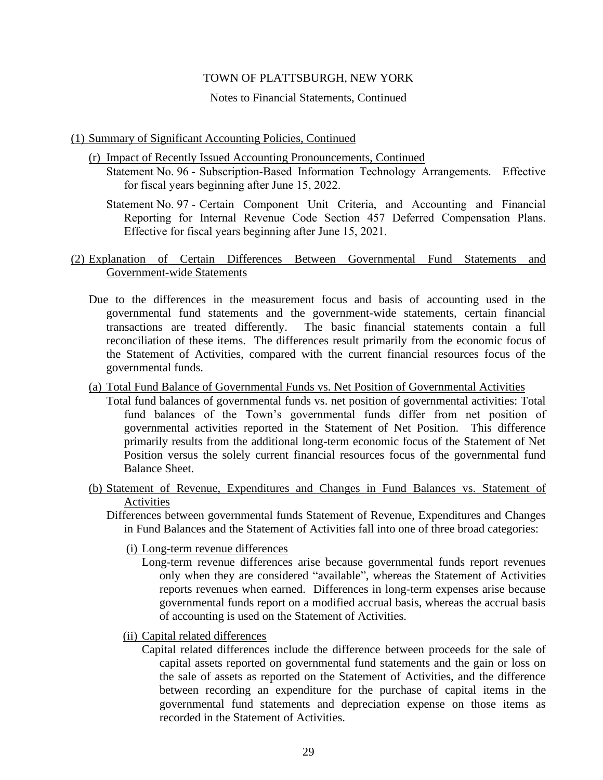## Notes to Financial Statements, Continued

## (1) Summary of Significant Accounting Policies, Continued

- (r) Impact of Recently Issued Accounting Pronouncements, Continued
	- Statement No. 96 Subscription-Based Information Technology Arrangements. Effective for fiscal years beginning after June 15, 2022.
	- Statement No. 97 Certain Component Unit Criteria, and Accounting and Financial Reporting for Internal Revenue Code Section 457 Deferred Compensation Plans. Effective for fiscal years beginning after June 15, 2021.

(2) Explanation of Certain Differences Between Governmental Fund Statements and Government-wide Statements

- Due to the differences in the measurement focus and basis of accounting used in the governmental fund statements and the government-wide statements, certain financial transactions are treated differently. The basic financial statements contain a full reconciliation of these items. The differences result primarily from the economic focus of the Statement of Activities, compared with the current financial resources focus of the governmental funds.
- (a) Total Fund Balance of Governmental Funds [vs. Net](http://vs.net/) Position of Governmental Activities
	- Total fund balances of governmental funds vs. net position of governmental activities: Total fund balances of the Town's governmental funds differ from net position of governmental activities reported in the Statement of Net Position. This difference primarily results from the additional long-term economic focus of the Statement of Net Position versus the solely current financial resources focus of the governmental fund Balance Sheet.
- (b) Statement of Revenue, Expenditures and Changes in Fund Balances vs. Statement of Activities
	- Differences between governmental funds Statement of Revenue, Expenditures and Changes in Fund Balances and the Statement of Activities fall into one of three broad categories:
		- (i) Long-term revenue differences
			- Long-term revenue differences arise because governmental funds report revenues only when they are considered "available", whereas the Statement of Activities reports revenues when earned. Differences in long-term expenses arise because governmental funds report on a modified accrual basis, whereas the accrual basis of accounting is used on the Statement of Activities.
		- (ii) Capital related differences
			- Capital related differences include the difference between proceeds for the sale of capital assets reported on governmental fund statements and the gain or loss on the sale of assets as reported on the Statement of Activities, and the difference between recording an expenditure for the purchase of capital items in the governmental fund statements and depreciation expense on those items as recorded in the Statement of Activities.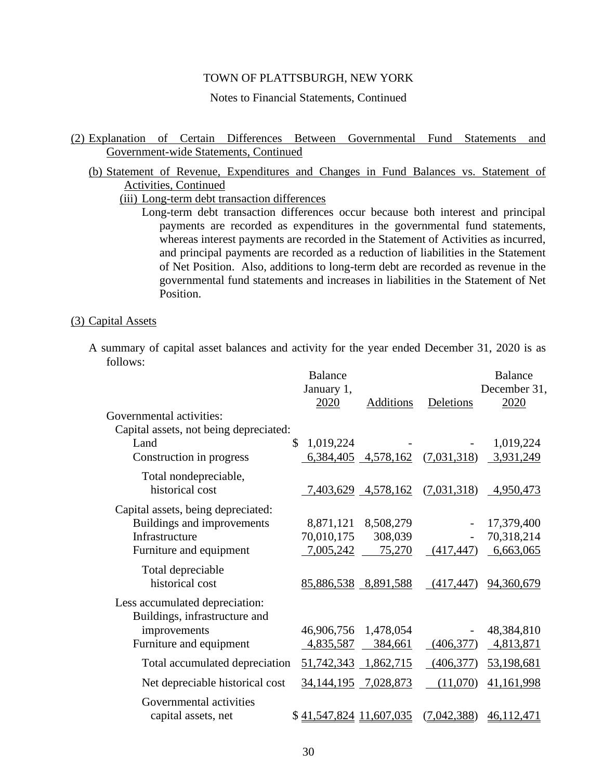# Notes to Financial Statements, Continued

(2) Explanation of Certain Differences Between Governmental Fund Statements and Government-wide Statements, Continued

# (b) Statement of Revenue, Expenditures and Changes in Fund Balances vs. Statement of Activities, Continued

(iii) Long-term debt transaction differences

Long-term debt transaction differences occur because both interest and principal payments are recorded as expenditures in the governmental fund statements, whereas interest payments are recorded in the Statement of Activities as incurred, and principal payments are recorded as a reduction of liabilities in the Statement of Net Position. Also, additions to long-term debt are recorded as revenue in the governmental fund statements and increases in liabilities in the Statement of Net Position.

# (3) Capital Assets

A summary of capital asset balances and activity for the year ended December 31, 2020 is as follows:

|                                        | <b>Balance</b>          |                     |             | <b>Balance</b> |
|----------------------------------------|-------------------------|---------------------|-------------|----------------|
|                                        | January 1,              |                     |             | December 31,   |
|                                        | 2020                    | <b>Additions</b>    | Deletions   | 2020           |
| Governmental activities:               |                         |                     |             |                |
| Capital assets, not being depreciated: |                         |                     |             |                |
| Land                                   | 1,019,224<br>\$         |                     |             | 1,019,224      |
| Construction in progress               | 6,384,405               | 4,578,162           | (7,031,318) | 3,931,249      |
| Total nondepreciable,                  |                         |                     |             |                |
| historical cost                        |                         | 7,403,629 4,578,162 | (7,031,318) | 4,950,473      |
| Capital assets, being depreciated:     |                         |                     |             |                |
| Buildings and improvements             | 8,871,121               | 8,508,279           |             | 17,379,400     |
| Infrastructure                         | 70,010,175              | 308,039             |             | 70,318,214     |
| Furniture and equipment                | 7,005,242               | 75,270              | (417, 447)  | 6,663,065      |
| Total depreciable                      |                         |                     |             |                |
| historical cost                        | 85,886,538              | 8,891,588           | (417, 447)  | 94,360,679     |
| Less accumulated depreciation:         |                         |                     |             |                |
| Buildings, infrastructure and          |                         |                     |             |                |
| improvements                           | 46,906,756              | 1,478,054           |             | 48,384,810     |
| Furniture and equipment                | 4,835,587               | 384,661             | (406, 377)  | 4,813,871      |
| Total accumulated depreciation         | 51,742,343              | 1,862,715           | (406, 377)  | 53,198,681     |
| Net depreciable historical cost        | <u>34,144,195</u>       | 7,028,873           | (11,070)    | 41,161,998     |
| Governmental activities                |                         |                     |             |                |
| capital assets, net                    | \$41,547,824 11,607,035 |                     | (7,042,388) | 46,112,471     |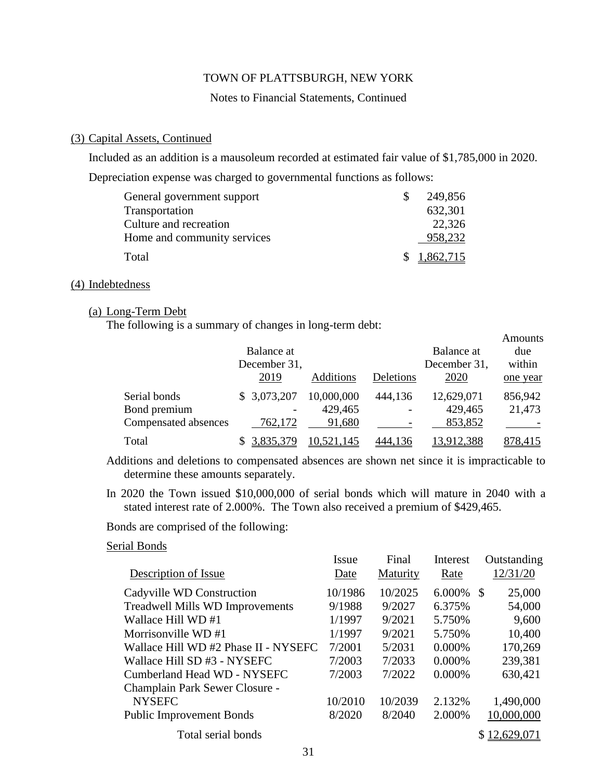# Notes to Financial Statements, Continued

#### (3) Capital Assets, Continued

Included as an addition is a mausoleum recorded at estimated fair value of \$1,785,000 in 2020.

Depreciation expense was charged to governmental functions as follows:

| General government support  | 249,856     |
|-----------------------------|-------------|
| Transportation              | 632,301     |
| Culture and recreation      | 22,326      |
| Home and community services | 958,232     |
| Total                       | \$1,862,715 |

#### (4) Indebtedness

#### (a) Long-Term Debt

The following is a summary of changes in long-term debt:

|                               | Balance at<br>December 31,<br>2019 | <b>Additions</b>      | Deletions | Balance at<br>December 31,<br>2020 | <b>Amounts</b><br>due<br>within<br>one year |
|-------------------------------|------------------------------------|-----------------------|-----------|------------------------------------|---------------------------------------------|
| Serial bonds<br>Bond premium  | \$3,073,207                        | 10,000,000<br>429,465 | 444,136   | 12,629,071<br>429,465              | 856,942<br>21,473                           |
| Compensated absences<br>Total | 762,172<br>3,835,379               | 91,680<br>10,521,145  | 444,136   | 853,852<br>13,912,388              | 878,415                                     |

Additions and deletions to compensated absences are shown net since it is impracticable to determine these amounts separately.

In 2020 the Town issued \$10,000,000 of serial bonds which will mature in 2040 with a stated interest rate of 2.000%. The Town also received a premium of \$429,465.

Bonds are comprised of the following:

#### Serial Bonds

| Description of Issue                 | Issue<br>Date | Final<br>Maturity | Interest<br>Rate | Outstanding<br>12/31/20 |
|--------------------------------------|---------------|-------------------|------------------|-------------------------|
| Cadyville WD Construction            | 10/1986       | 10/2025           | 6.000%           | 25,000<br>-S            |
| Treadwell Mills WD Improvements      | 9/1988        | 9/2027            | 6.375%           | 54,000                  |
| Wallace Hill WD #1                   | 1/1997        | 9/2021            | 5.750%           | 9,600                   |
| Morrisonville WD #1                  | 1/1997        | 9/2021            | 5.750%           | 10,400                  |
| Wallace Hill WD #2 Phase II - NYSEFC | 7/2001        | 5/2031            | 0.000%           | 170,269                 |
| Wallace Hill SD #3 - NYSEFC          | 7/2003        | 7/2033            | 0.000%           | 239,381                 |
| Cumberland Head WD - NYSEFC          | 7/2003        | 7/2022            | 0.000%           | 630,421                 |
| Champlain Park Sewer Closure -       |               |                   |                  |                         |
| <b>NYSEFC</b>                        | 10/2010       | 10/2039           | 2.132%           | 1,490,000               |
| <b>Public Improvement Bonds</b>      | 8/2020        | 8/2040            | 2.000%           | 10,000,000              |
| Total serial bonds                   |               |                   |                  | \$12,629,071            |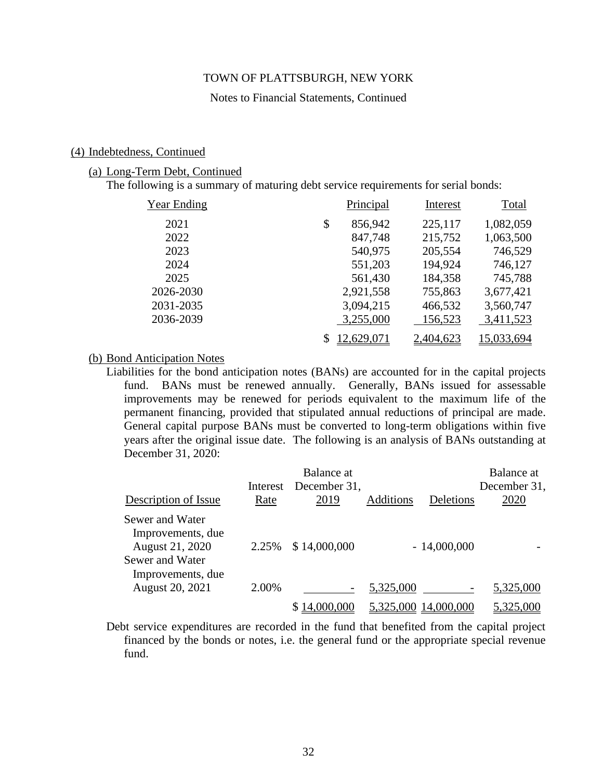# Notes to Financial Statements, Continued

# (4) Indebtedness, Continued

#### (a) Long-Term Debt, Continued

The following is a summary of maturing debt service requirements for serial bonds:

| <b>Year Ending</b> | Principal     | Interest  | Total      |
|--------------------|---------------|-----------|------------|
| 2021               | \$<br>856,942 | 225,117   | 1,082,059  |
| 2022               | 847,748       | 215,752   | 1,063,500  |
| 2023               | 540,975       | 205,554   | 746,529    |
| 2024               | 551,203       | 194,924   | 746,127    |
| 2025               | 561,430       | 184,358   | 745,788    |
| 2026-2030          | 2,921,558     | 755,863   | 3,677,421  |
| 2031-2035          | 3,094,215     | 466,532   | 3,560,747  |
| 2036-2039          | 3,255,000     | 156,523   | 3,411,523  |
|                    | 12,629,071    | 2,404,623 | 15,033,694 |

# (b) Bond Anticipation Notes

Liabilities for the bond anticipation notes (BANs) are accounted for in the capital projects fund. BANs must be renewed annually. Generally, BANs issued for assessable improvements may be renewed for periods equivalent to the maximum life of the permanent financing, provided that stipulated annual reductions of principal are made. General capital purpose BANs must be converted to long-term obligations within five years after the original issue date. The following is an analysis of BANs outstanding at December 31, 2020:

|                      |          | Balance at   |                  |               | Balance at   |
|----------------------|----------|--------------|------------------|---------------|--------------|
|                      | Interest | December 31, |                  |               | December 31, |
| Description of Issue | Rate     | 2019         | <b>Additions</b> | Deletions     | 2020         |
| Sewer and Water      |          |              |                  |               |              |
| Improvements, due    |          |              |                  |               |              |
| August 21, 2020      | 2.25%    | \$14,000,000 |                  | $-14,000,000$ |              |
| Sewer and Water      |          |              |                  |               |              |
| Improvements, due    |          |              |                  |               |              |
| August 20, 2021      | 2.00%    |              | 5,325,000        |               | 5,325,000    |
|                      |          | 14,000,000   | 5,325,000        | 14,000,000    | 5,325,000    |

Debt service expenditures are recorded in the fund that benefited from the capital project financed by the bonds or notes, i.e. the general fund or the appropriate special revenue fund.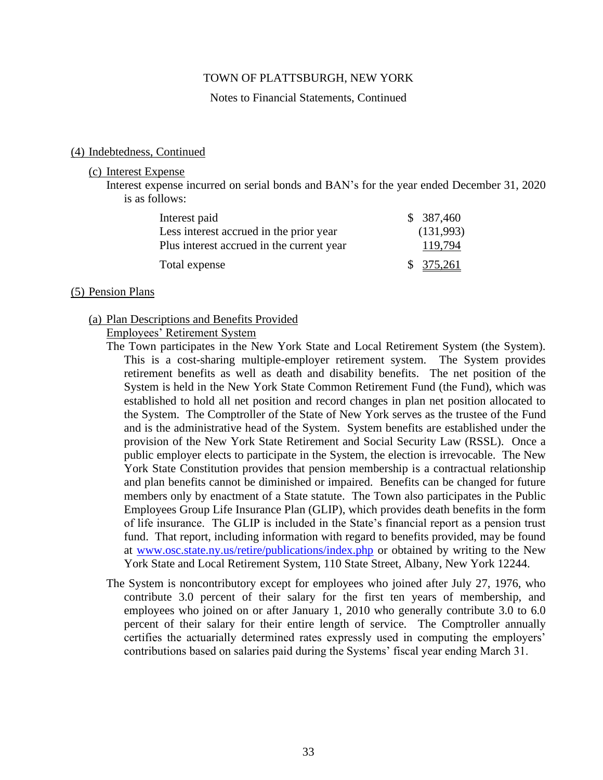### Notes to Financial Statements, Continued

# (4) Indebtedness, Continued

#### (c) Interest Expense

Interest expense incurred on serial bonds and BAN's for the year ended December 31, 2020 is as follows:

| Interest paid                             | \$387,460 |
|-------------------------------------------|-----------|
| Less interest accrued in the prior year   | (131,993) |
| Plus interest accrued in the current year | 119,794   |
| Total expense                             | \$375,261 |

#### (5) Pension Plans

#### (a) Plan Descriptions and Benefits Provided

# Employees' Retirement System

- The Town participates in the New York State and Local Retirement System (the System). This is a cost-sharing multiple-employer retirement system. The System provides retirement benefits as well as death and disability benefits. The net position of the System is held in the New York State Common Retirement Fund (the Fund), which was established to hold all net position and record changes in plan net position allocated to the System. The Comptroller of the State of New York serves as the trustee of the Fund and is the administrative head of the System. System benefits are established under the provision of the New York State Retirement and Social Security Law (RSSL). Once a public employer elects to participate in the System, the election is irrevocable. The New York State Constitution provides that pension membership is a contractual relationship and plan benefits cannot be diminished or impaired. Benefits can be changed for future members only by enactment of a State statute. The Town also participates in the Public Employees Group Life Insurance Plan (GLIP), which provides death benefits in the form of life insurance. The GLIP is included in the State's financial report as a pension trust fund. That report, including information with regard to benefits provided, may be found at [www.osc.state.ny.us/retire/publications/index.php](http://www.osc.state.ny.us/retire/publications/index.php) or obtained by writing to the New York State and Local Retirement System, 110 State Street, Albany, New York 12244.
- The System is noncontributory except for employees who joined after July 27, 1976, who contribute 3.0 percent of their salary for the first ten years of membership, and employees who joined on or after January 1, 2010 who generally contribute 3.0 to 6.0 percent of their salary for their entire length of service. The Comptroller annually certifies the actuarially determined rates expressly used in computing the employers' contributions based on salaries paid during the Systems' fiscal year ending March 31.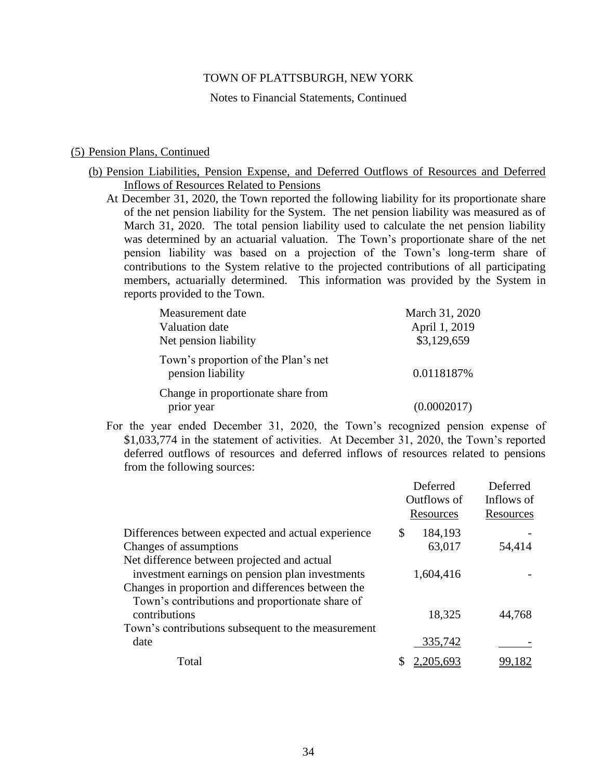### Notes to Financial Statements, Continued

# (5) Pension Plans, Continued

- (b) Pension Liabilities, Pension Expense, and Deferred Outflows of Resources and Deferred Inflows of Resources Related to Pensions
	- At December 31, 2020, the Town reported the following liability for its proportionate share of the net pension liability for the System. The net pension liability was measured as of March 31, 2020. The total pension liability used to calculate the net pension liability was determined by an actuarial valuation. The Town's proportionate share of the net pension liability was based on a projection of the Town's long-term share of contributions to the System relative to the projected contributions of all participating members, actuarially determined. This information was provided by the System in reports provided to the Town.

| Measurement date<br>Valuation date<br>Net pension liability | March 31, 2020<br>April 1, 2019<br>\$3,129,659 |
|-------------------------------------------------------------|------------------------------------------------|
| Town's proportion of the Plan's net<br>pension liability    | 0.0118187%                                     |
| Change in proportionate share from<br>prior year            | (0.0002017)                                    |

For the year ended December 31, 2020, the Town's recognized pension expense of \$1,033,774 in the statement of activities. At December 31, 2020, the Town's reported deferred outflows of resources and deferred inflows of resources related to pensions from the following sources:

|                                                                                                                                                     |    | Deferred<br>Outflows of<br>Resources | Deferred<br>Inflows of<br>Resources |
|-----------------------------------------------------------------------------------------------------------------------------------------------------|----|--------------------------------------|-------------------------------------|
| Differences between expected and actual experience                                                                                                  | \$ | 184,193                              |                                     |
| Changes of assumptions                                                                                                                              |    | 63,017                               | 54,414                              |
| Net difference between projected and actual<br>investment earnings on pension plan investments<br>Changes in proportion and differences between the |    | 1,604,416                            |                                     |
| Town's contributions and proportionate share of<br>contributions                                                                                    |    | 18,325                               | 44,768                              |
| Town's contributions subsequent to the measurement<br>date                                                                                          |    | 335,742                              |                                     |
| Total                                                                                                                                               |    | 2,205,693                            | 99,182                              |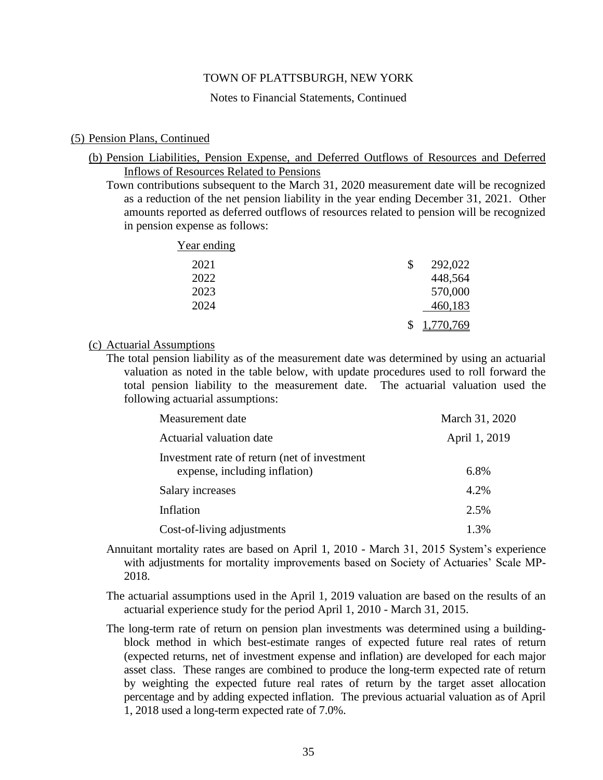### Notes to Financial Statements, Continued

#### (5) Pension Plans, Continued

- (b) Pension Liabilities, Pension Expense, and Deferred Outflows of Resources and Deferred Inflows of Resources Related to Pensions
	- Town contributions subsequent to the March 31, 2020 measurement date will be recognized as a reduction of the net pension liability in the year ending December 31, 2021. Other amounts reported as deferred outflows of resources related to pension will be recognized in pension expense as follows:

| Year ending |               |
|-------------|---------------|
| 2021        | 292,022<br>\$ |
| 2022        | 448,564       |
| 2023        | 570,000       |
| 2024        | 460,183       |
|             | 1,770,769     |

#### (c) Actuarial Assumptions

The total pension liability as of the measurement date was determined by using an actuarial valuation as noted in the table below, with update procedures used to roll forward the total pension liability to the measurement date. The actuarial valuation used the following actuarial assumptions:

| Measurement date                                                               | March 31, 2020 |
|--------------------------------------------------------------------------------|----------------|
| Actuarial valuation date                                                       | April 1, 2019  |
| Investment rate of return (net of investment)<br>expense, including inflation) | $6.8\%$        |
| Salary increases                                                               | 4.2%           |
| Inflation                                                                      | 2.5%           |
| Cost-of-living adjustments                                                     | 1.3%           |

- Annuitant mortality rates are based on April 1, 2010 March 31, 2015 System's experience with adjustments for mortality improvements based on Society of Actuaries' Scale MP-2018.
- The actuarial assumptions used in the April 1, 2019 valuation are based on the results of an actuarial experience study for the period April 1, 2010 - March 31, 2015.
- The long-term rate of return on pension plan investments was determined using a buildingblock method in which best-estimate ranges of expected future real rates of return (expected returns, net of investment expense and inflation) are developed for each major asset class. These ranges are combined to produce the long-term expected rate of return by weighting the expected future real rates of return by the target asset allocation percentage and by adding expected inflation. The previous actuarial valuation as of April 1, 2018 used a long-term expected rate of 7.0%.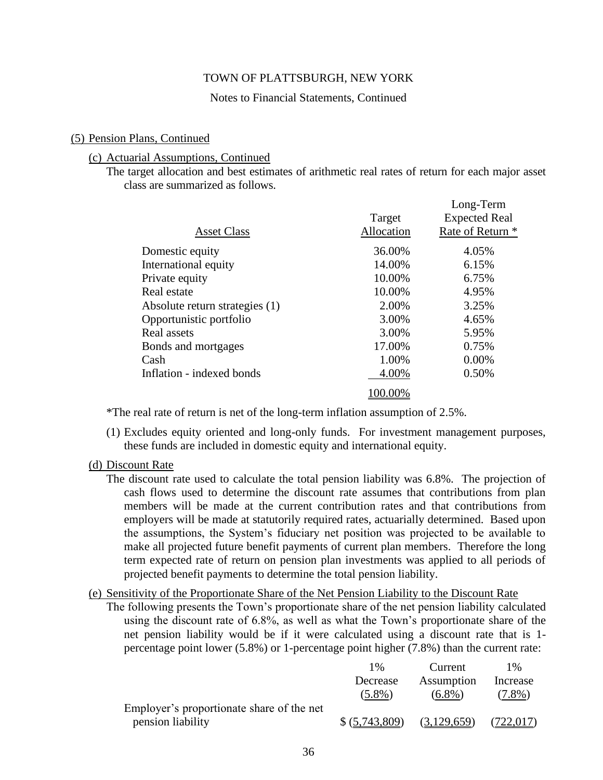### Notes to Financial Statements, Continued

#### (5) Pension Plans, Continued

#### (c) Actuarial Assumptions, Continued

The target allocation and best estimates of arithmetic real rates of return for each major asset class are summarized as follows.

|                                |                 | Long-Term            |
|--------------------------------|-----------------|----------------------|
|                                | Target          | <b>Expected Real</b> |
| <b>Asset Class</b>             | Allocation      | Rate of Return *     |
| Domestic equity                | 36.00%          | 4.05%                |
| International equity           | 14.00%          | 6.15%                |
| Private equity                 | 10.00%          | 6.75%                |
| Real estate                    | 10.00%          | 4.95%                |
| Absolute return strategies (1) | 2.00%           | 3.25%                |
| Opportunistic portfolio        | 3.00%           | 4.65%                |
| Real assets                    | 3.00%           | 5.95%                |
| Bonds and mortgages            | 17.00%          | 0.75%                |
| Cash                           | 1.00%           | 0.00%                |
| Inflation - indexed bonds      | 4.00%           | 0.50%                |
|                                | <u>\00.0</u> 0% |                      |

\*The real rate of return is net of the long-term inflation assumption of 2.5%.

(1) Excludes equity oriented and long-only funds. For investment management purposes, these funds are included in domestic equity and international equity.

## (d) Discount Rate

The discount rate used to calculate the total pension liability was 6.8%. The projection of cash flows used to determine the discount rate assumes that contributions from plan members will be made at the current contribution rates and that contributions from employers will be made at statutorily required rates, actuarially determined. Based upon the assumptions, the System's fiduciary net position was projected to be available to make all projected future benefit payments of current plan members. Therefore the long term expected rate of return on pension plan investments was applied to all periods of projected benefit payments to determine the total pension liability.

#### (e) Sensitivity of the Proportionate Share of the Net Pension Liability to the Discount Rate

The following presents the Town's proportionate share of the net pension liability calculated using the discount rate of 6.8%, as well as what the Town's proportionate share of the net pension liability would be if it were calculated using a discount rate that is 1 percentage point lower (5.8%) or 1-percentage point higher (7.8%) than the current rate:

|                                           | $1\%$          | Current     | $1\%$      |
|-------------------------------------------|----------------|-------------|------------|
|                                           | Decrease       | Assumption  | Increase   |
|                                           | $(5.8\%)$      | $(6.8\%)$   | $(7.8\%)$  |
| Employer's proportionate share of the net |                |             |            |
| pension liability                         | \$ (5,743,809) | (3,129,659) | (722, 017) |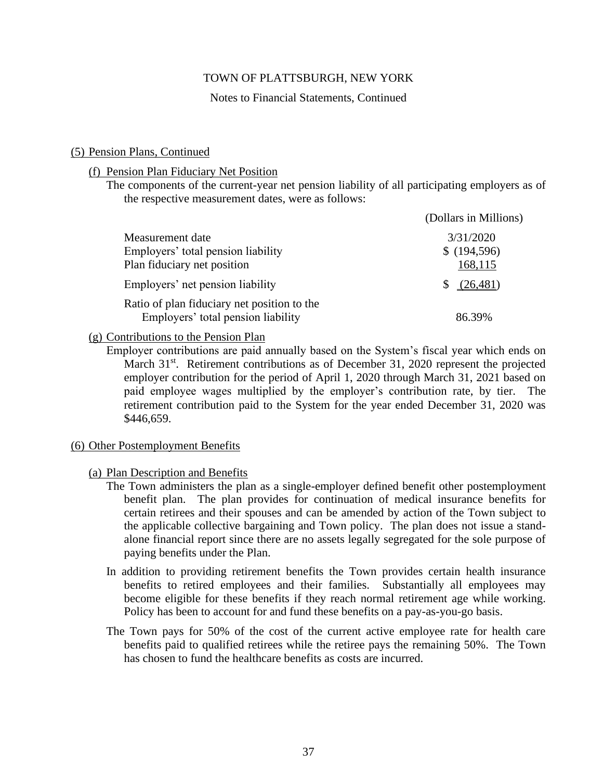### Notes to Financial Statements, Continued

# (5) Pension Plans, Continued

## (f) Pension Plan Fiduciary Net Position

The components of the current-year net pension liability of all participating employers as of the respective measurement dates, were as follows:

|                                                                                   | (Dollars in Millions) |
|-----------------------------------------------------------------------------------|-----------------------|
| Measurement date                                                                  | 3/31/2020             |
| Employers' total pension liability                                                | \$(194,596)           |
| Plan fiduciary net position                                                       | 168,115               |
| Employers' net pension liability                                                  | (26, 481)             |
| Ratio of plan fiduciary net position to the<br>Employers' total pension liability | 86.39%                |

# (g) Contributions to the Pension Plan

Employer contributions are paid annually based on the System's fiscal year which ends on March 31<sup>st</sup>. Retirement contributions as of December 31, 2020 represent the projected employer contribution for the period of April 1, 2020 through March 31, 2021 based on paid employee wages multiplied by the employer's contribution rate, by tier. The retirement contribution paid to the System for the year ended December 31, 2020 was \$446,659.

### (6) Other Postemployment Benefits

### (a) Plan Description and Benefits

- The Town administers the plan as a single-employer defined benefit other postemployment benefit plan. The plan provides for continuation of medical insurance benefits for certain retirees and their spouses and can be amended by action of the Town subject to the applicable collective bargaining and Town policy. The plan does not issue a standalone financial report since there are no assets legally segregated for the sole purpose of paying benefits under the Plan.
- In addition to providing retirement benefits the Town provides certain health insurance benefits to retired employees and their families. Substantially all employees may become eligible for these benefits if they reach normal retirement age while working. Policy has been to account for and fund these benefits on a pay-as-you-go basis.
- The Town pays for 50% of the cost of the current active employee rate for health care benefits paid to qualified retirees while the retiree pays the remaining 50%. The Town has chosen to fund the healthcare benefits as costs are incurred.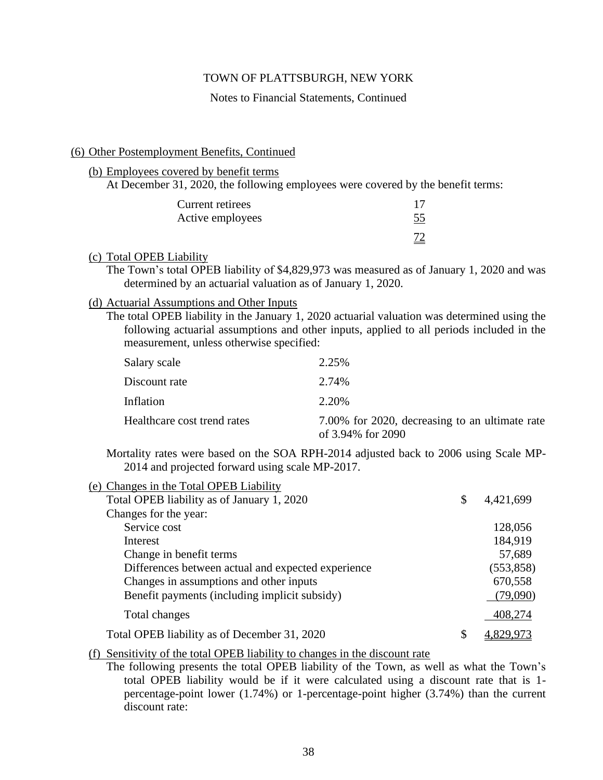# Notes to Financial Statements, Continued

# (6) Other Postemployment Benefits, Continued

#### (b) Employees covered by benefit terms

At December 31, 2020, the following employees were covered by the benefit terms:

| Current retirees |           |
|------------------|-----------|
| Active employees | <u>55</u> |
|                  |           |

## (c) Total OPEB Liability

The Town's total OPEB liability of \$4,829,973 was measured as of January 1, 2020 and was determined by an actuarial valuation as of January 1, 2020.

#### (d) Actuarial Assumptions and Other Inputs

The total OPEB liability in the January 1, 2020 actuarial valuation was determined using the following actuarial assumptions and other inputs, applied to all periods included in the measurement, unless otherwise specified:

| Salary scale                | 2.25%                                                               |
|-----------------------------|---------------------------------------------------------------------|
| Discount rate               | 2.74%                                                               |
| Inflation                   | 2.20%                                                               |
| Healthcare cost trend rates | 7.00% for 2020, decreasing to an ultimate rate<br>of 3.94% for 2090 |

Mortality rates were based on the SOA RPH-2014 adjusted back to 2006 using Scale MP-2014 and projected forward using scale MP-2017.

| (e) Changes in the Total OPEB Liability            |                 |
|----------------------------------------------------|-----------------|
| Total OPEB liability as of January 1, 2020         | \$<br>4,421,699 |
| Changes for the year:                              |                 |
| Service cost                                       | 128,056         |
| Interest                                           | 184,919         |
| Change in benefit terms                            | 57,689          |
| Differences between actual and expected experience | (553, 858)      |
| Changes in assumptions and other inputs            | 670,558         |
| Benefit payments (including implicit subsidy)      | (79,090)        |
| Total changes                                      | 408,274         |
| Total OPEB liability as of December 31, 2020       | \$<br>4,829,973 |

#### (f) Sensitivity of the total OPEB liability to changes in the discount rate

The following presents the total OPEB liability of the Town, as well as what the Town's total OPEB liability would be if it were calculated using a discount rate that is 1 percentage-point lower (1.74%) or 1-percentage-point higher (3.74%) than the current discount rate: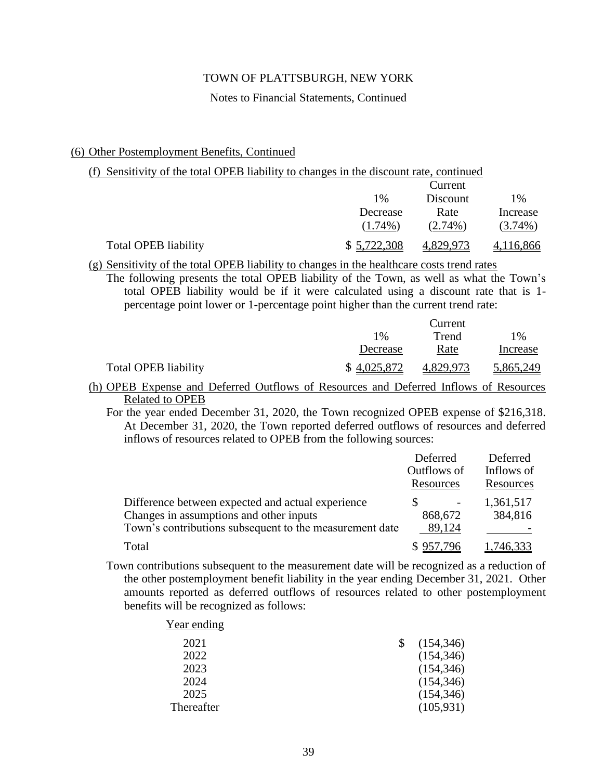### Notes to Financial Statements, Continued

# (6) Other Postemployment Benefits, Continued

| (f) Sensitivity of the total OPEB liability to changes in the discount rate, continued |             |                 |            |
|----------------------------------------------------------------------------------------|-------------|-----------------|------------|
|                                                                                        |             | Current         |            |
|                                                                                        | 1%          | <b>Discount</b> | 1%         |
|                                                                                        | Decrease    | Rate            | Increase   |
|                                                                                        | $(1.74\%)$  | $(2.74\%)$      | $(3.74\%)$ |
| <b>Total OPEB liability</b>                                                            | \$5,722,308 | 4.829.973       | 4,116,866  |

(g) Sensitivity of the total OPEB liability to changes in the healthcare costs trend rates

The following presents the total OPEB liability of the Town, as well as what the Town's total OPEB liability would be if it were calculated using a discount rate that is 1 percentage point lower or 1-percentage point higher than the current trend rate:

|                      |             | Current   |           |
|----------------------|-------------|-----------|-----------|
|                      | 1%          | Trend     | 1%        |
|                      | Decrease    | Rate      | Increase  |
| Total OPEB liability | \$4,025,872 | 4,829,973 | 5,865,249 |

(h) OPEB Expense and Deferred Outflows of Resources and Deferred Inflows of Resources Related to OPEB

For the year ended December 31, 2020, the Town recognized OPEB expense of \$216,318. At December 31, 2020, the Town reported deferred outflows of resources and deferred inflows of resources related to OPEB from the following sources:

|                                                                                                                                                         | Deferred<br>Outflows of<br>Resources          | Deferred<br>Inflows of<br>Resources |
|---------------------------------------------------------------------------------------------------------------------------------------------------------|-----------------------------------------------|-------------------------------------|
| Difference between expected and actual experience<br>Changes in assumptions and other inputs<br>Town's contributions subsequent to the measurement date | $\overline{\phantom{a}}$<br>868,672<br>89,124 | 1,361,517<br>384,816                |
| Total                                                                                                                                                   | \$957,796                                     | 746.333                             |

Town contributions subsequent to the measurement date will be recognized as a reduction of the other postemployment benefit liability in the year ending December 31, 2021. Other amounts reported as deferred outflows of resources related to other postemployment benefits will be recognized as follows:

| Year ending |                 |  |
|-------------|-----------------|--|
| 2021        | (154, 346)<br>S |  |
| 2022        | (154, 346)      |  |
| 2023        | (154, 346)      |  |
| 2024        | (154, 346)      |  |
| 2025        | (154, 346)      |  |
| Thereafter  | (105, 931)      |  |
|             |                 |  |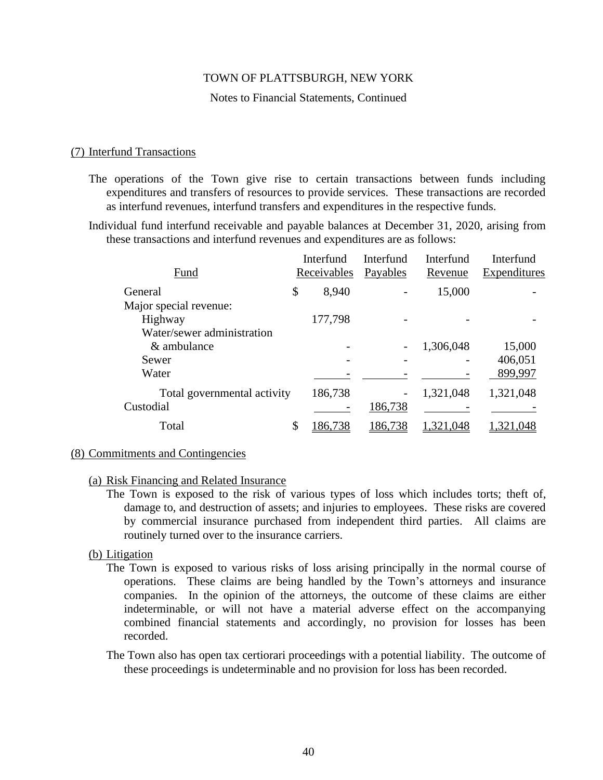### Notes to Financial Statements, Continued

#### (7) Interfund Transactions

The operations of the Town give rise to certain transactions between funds including expenditures and transfers of resources to provide services. These transactions are recorded as interfund revenues, interfund transfers and expenditures in the respective funds.

Individual fund interfund receivable and payable balances at December 31, 2020, arising from these transactions and interfund revenues and expenditures are as follows:

|                             | Interfund   | Interfund | Interfund | Interfund    |
|-----------------------------|-------------|-----------|-----------|--------------|
| Fund                        | Receivables | Payables  | Revenue   | Expenditures |
| General                     | \$<br>8,940 |           | 15,000    |              |
| Major special revenue:      |             |           |           |              |
| Highway                     | 177,798     |           |           |              |
| Water/sewer administration  |             |           |           |              |
| & ambulance                 |             |           | 1,306,048 | 15,000       |
| Sewer                       |             |           |           | 406,051      |
| Water                       |             |           |           | 899,997      |
| Total governmental activity | 186,738     |           | 1,321,048 | 1,321,048    |
| Custodial                   |             | 186,738   |           |              |
| Total                       | 186.738     | 186,738   | 1,321,048 | .321         |

#### (8) Commitments and Contingencies

#### (a) Risk Financing and Related Insurance

The Town is exposed to the risk of various types of loss which includes torts; theft of, damage to, and destruction of assets; and injuries to employees. These risks are covered by commercial insurance purchased from independent third parties. All claims are routinely turned over to the insurance carriers.

### (b) Litigation

The Town is exposed to various risks of loss arising principally in the normal course of operations. These claims are being handled by the Town's attorneys and insurance companies. In the opinion of the attorneys, the outcome of these claims are either indeterminable, or will not have a material adverse effect on the accompanying combined financial statements and accordingly, no provision for losses has been recorded.

The Town also has open tax certiorari proceedings with a potential liability. The outcome of these proceedings is undeterminable and no provision for loss has been recorded.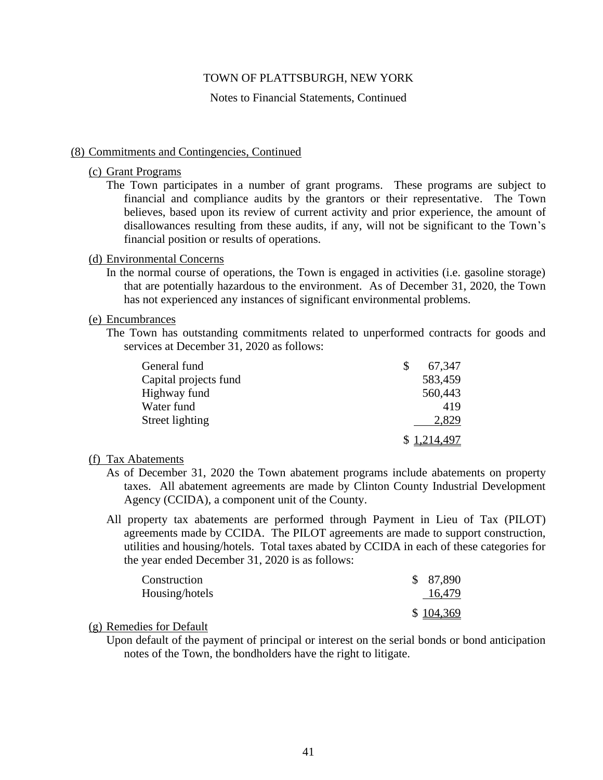### Notes to Financial Statements, Continued

### (8) Commitments and Contingencies, Continued

#### (c) Grant Programs

The Town participates in a number of grant programs. These programs are subject to financial and compliance audits by the grantors or their representative. The Town believes, based upon its review of current activity and prior experience, the amount of disallowances resulting from these audits, if any, will not be significant to the Town's financial position or results of operations.

## (d) Environmental Concerns

In the normal course of operations, the Town is engaged in activities (i.e. gasoline storage) that are potentially hazardous to the environment. As of December 31, 2020, the Town has not experienced any instances of significant environmental problems.

### (e) Encumbrances

The Town has outstanding commitments related to unperformed contracts for goods and services at December 31, 2020 as follows:

| General fund          | 67,347      |
|-----------------------|-------------|
| Capital projects fund | 583,459     |
| Highway fund          | 560,443     |
| Water fund            | 419         |
| Street lighting       | 2,829       |
|                       | \$1,214,497 |

#### (f) Tax Abatements

- As of December 31, 2020 the Town abatement programs include abatements on property taxes. All abatement agreements are made by Clinton County Industrial Development Agency (CCIDA), a component unit of the County.
- All property tax abatements are performed through Payment in Lieu of Tax (PILOT) agreements made by CCIDA. The PILOT agreements are made to support construction, utilities and housing/hotels. Total taxes abated by CCIDA in each of these categories for the year ended December 31, 2020 is as follows:

| Construction   | \$87,890  |
|----------------|-----------|
| Housing/hotels | 16,479    |
|                | \$104,369 |

#### (g) Remedies for Default

Upon default of the payment of principal or interest on the serial bonds or bond anticipation notes of the Town, the bondholders have the right to litigate.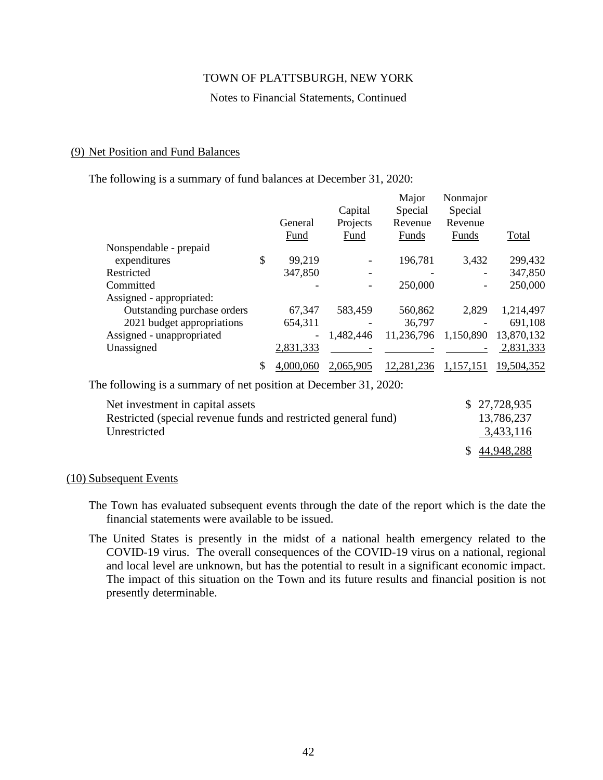# Notes to Financial Statements, Continued

# (9) Net Position and Fund Balances

The following is a summary of fund balances at December 31, 2020:

|                             |                 | Capital   | Major<br>Special | Nonmajor<br>Special          |              |
|-----------------------------|-----------------|-----------|------------------|------------------------------|--------------|
|                             | General         | Projects  | Revenue          | Revenue                      |              |
|                             | Fund            | Fund      | Funds            | Funds                        | <b>Total</b> |
| Nonspendable - prepaid      |                 |           |                  |                              |              |
| expenditures                | \$<br>99,219    |           | 196,781          | 3,432                        | 299,432      |
| Restricted                  | 347,850         |           |                  | $\qquad \qquad \blacksquare$ | 347,850      |
| Committed                   |                 |           | 250,000          |                              | 250,000      |
| Assigned - appropriated:    |                 |           |                  |                              |              |
| Outstanding purchase orders | 67,347          | 583,459   | 560,862          | 2,829                        | 1,214,497    |
| 2021 budget appropriations  | 654,311         |           | 36,797           |                              | 691,108      |
| Assigned - unappropriated   |                 | 1,482,446 | 11,236,796       | 1,150,890                    | 13,870,132   |
| Unassigned                  | 2,831,333       |           |                  |                              | 2,831,333    |
|                             | \$<br>4,000,060 | 2,065,905 | 12,281,236       | 1,157,151                    | 19,504,352   |

The following is a summary of net position at December 31, 2020:

| Net investment in capital assets                               | \$27,728,935 |
|----------------------------------------------------------------|--------------|
| Restricted (special revenue funds and restricted general fund) | 13,786,237   |
| Unrestricted                                                   | 3,433,116    |
|                                                                | \$44,948,288 |

## (10) Subsequent Events

The Town has evaluated subsequent events through the date of the report which is the date the financial statements were available to be issued.

The United States is presently in the midst of a national health emergency related to the COVID-19 virus. The overall consequences of the COVID-19 virus on a national, regional and local level are unknown, but has the potential to result in a significant economic impact. The impact of this situation on the Town and its future results and financial position is not presently determinable.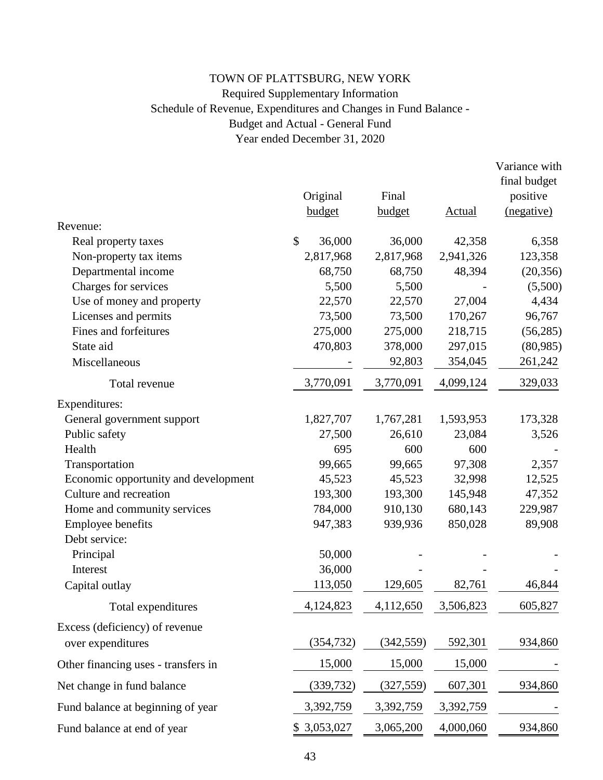# TOWN OF PLATTSBURG, NEW YORK Required Supplementary Information Schedule of Revenue, Expenditures and Changes in Fund Balance - Budget and Actual - General Fund Year ended December 31, 2020

|                                      | Original     | Final      |           | Variance with<br>final budget<br>positive |
|--------------------------------------|--------------|------------|-----------|-------------------------------------------|
| Revenue:                             | budget       | budget     | Actual    | (negative)                                |
| Real property taxes                  | \$<br>36,000 | 36,000     | 42,358    | 6,358                                     |
| Non-property tax items               | 2,817,968    | 2,817,968  | 2,941,326 | 123,358                                   |
| Departmental income                  | 68,750       | 68,750     | 48,394    | (20, 356)                                 |
| Charges for services                 | 5,500        | 5,500      |           | (5,500)                                   |
| Use of money and property            | 22,570       | 22,570     | 27,004    | 4,434                                     |
| Licenses and permits                 | 73,500       | 73,500     | 170,267   | 96,767                                    |
| Fines and forfeitures                | 275,000      | 275,000    | 218,715   | (56, 285)                                 |
| State aid                            | 470,803      | 378,000    | 297,015   | (80,985)                                  |
| Miscellaneous                        |              | 92,803     | 354,045   | 261,242                                   |
| Total revenue                        | 3,770,091    | 3,770,091  | 4,099,124 | 329,033                                   |
| Expenditures:                        |              |            |           |                                           |
| General government support           | 1,827,707    | 1,767,281  | 1,593,953 | 173,328                                   |
| Public safety                        | 27,500       | 26,610     | 23,084    | 3,526                                     |
| Health                               | 695          | 600        | 600       |                                           |
| Transportation                       | 99,665       | 99,665     | 97,308    | 2,357                                     |
| Economic opportunity and development | 45,523       | 45,523     | 32,998    | 12,525                                    |
| Culture and recreation               | 193,300      | 193,300    | 145,948   | 47,352                                    |
| Home and community services          | 784,000      | 910,130    | 680,143   | 229,987                                   |
| <b>Employee benefits</b>             | 947,383      | 939,936    | 850,028   | 89,908                                    |
| Debt service:                        |              |            |           |                                           |
| Principal                            | 50,000       |            |           |                                           |
| Interest                             | 36,000       |            |           |                                           |
| Capital outlay                       | 113,050      | 129,605    | 82,761    | 46,844                                    |
| Total expenditures                   | 4,124,823    | 4,112,650  | 3,506,823 | 605,827                                   |
| Excess (deficiency) of revenue       |              |            |           |                                           |
| over expenditures                    | (354, 732)   | (342, 559) | 592,301   | 934,860                                   |
| Other financing uses - transfers in  | 15,000       | 15,000     | 15,000    |                                           |
| Net change in fund balance           | (339, 732)   | (327, 559) | 607,301   | 934,860                                   |
| Fund balance at beginning of year    | 3,392,759    | 3,392,759  | 3,392,759 |                                           |
| Fund balance at end of year          | \$ 3,053,027 | 3,065,200  | 4,000,060 | 934,860                                   |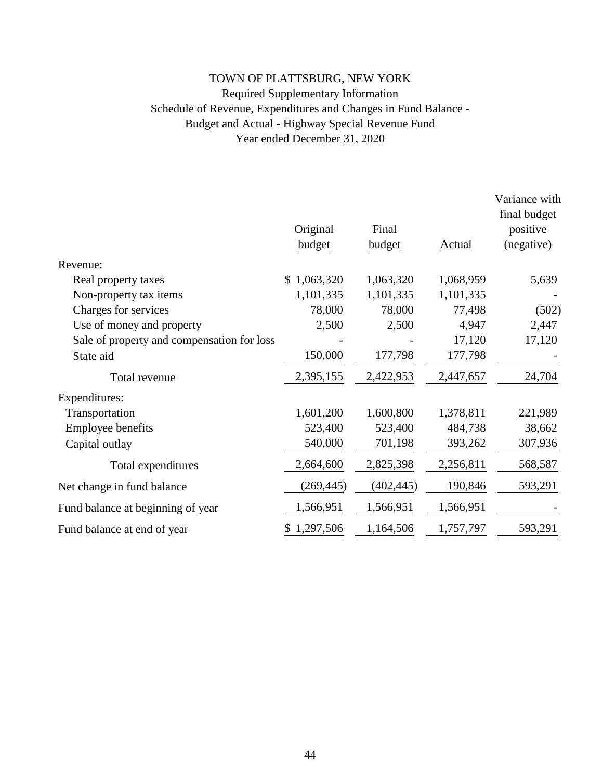# TOWN OF PLATTSBURG, NEW YORK Required Supplementary Information Schedule of Revenue, Expenditures and Changes in Fund Balance - Budget and Actual - Highway Special Revenue Fund Year ended December 31, 2020

|                                            |                             |            |               | Variance with<br>final budget |
|--------------------------------------------|-----------------------------|------------|---------------|-------------------------------|
|                                            | Original                    | Final      |               | positive                      |
|                                            | budget                      | budget     | <b>Actual</b> | (negative)                    |
| Revenue:                                   |                             |            |               |                               |
| Real property taxes                        | 1,063,320<br>$\mathbb{S}^-$ | 1,063,320  | 1,068,959     | 5,639                         |
| Non-property tax items                     | 1,101,335                   | 1,101,335  | 1,101,335     |                               |
| Charges for services                       | 78,000                      | 78,000     | 77,498        | (502)                         |
| Use of money and property                  | 2,500                       | 2,500      | 4,947         | 2,447                         |
| Sale of property and compensation for loss |                             |            | 17,120        | 17,120                        |
| State aid                                  | 150,000                     | 177,798    | 177,798       |                               |
| Total revenue                              | 2,395,155                   | 2,422,953  | 2,447,657     | 24,704                        |
| Expenditures:                              |                             |            |               |                               |
| Transportation                             | 1,601,200                   | 1,600,800  | 1,378,811     | 221,989                       |
| <b>Employee benefits</b>                   | 523,400                     | 523,400    | 484,738       | 38,662                        |
| Capital outlay                             | 540,000                     | 701,198    | 393,262       | 307,936                       |
| Total expenditures                         | 2,664,600                   | 2,825,398  | 2,256,811     | 568,587                       |
| Net change in fund balance                 | (269, 445)                  | (402, 445) | 190,846       | 593,291                       |
| Fund balance at beginning of year          | 1,566,951                   | 1,566,951  | 1,566,951     |                               |
| Fund balance at end of year                | 1,297,506                   | 1,164,506  | 1,757,797     | 593,291                       |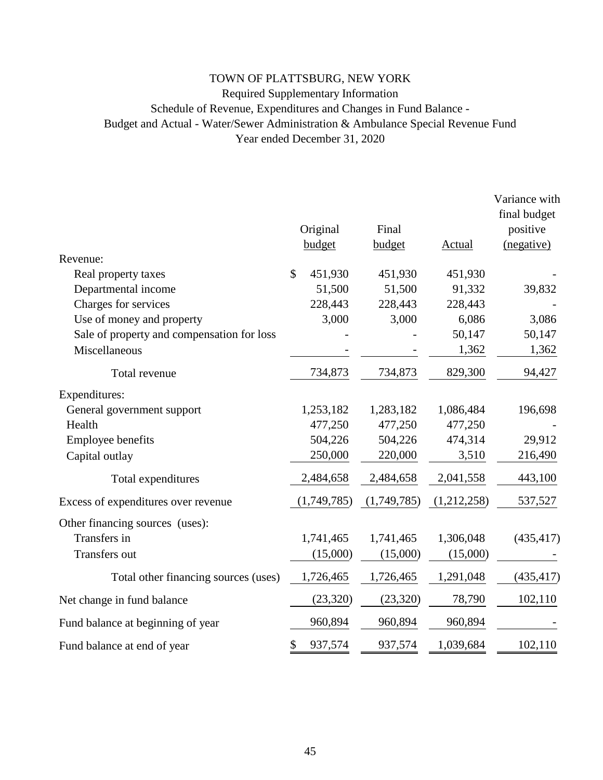# TOWN OF PLATTSBURG, NEW YORK Required Supplementary Information Schedule of Revenue, Expenditures and Changes in Fund Balance - Budget and Actual - Water/Sewer Administration & Ambulance Special Revenue Fund Year ended December 31, 2020

|                                            | Original      | Final       |               | Variance with<br>final budget<br>positive |
|--------------------------------------------|---------------|-------------|---------------|-------------------------------------------|
|                                            | budget        | budget      | <b>Actual</b> | (negative)                                |
| Revenue:                                   |               |             |               |                                           |
| Real property taxes                        | \$<br>451,930 | 451,930     | 451,930       |                                           |
| Departmental income                        | 51,500        | 51,500      | 91,332        | 39,832                                    |
| Charges for services                       | 228,443       | 228,443     | 228,443       |                                           |
| Use of money and property                  | 3,000         | 3,000       | 6,086         | 3,086                                     |
| Sale of property and compensation for loss |               |             | 50,147        | 50,147                                    |
| Miscellaneous                              |               |             | 1,362         | 1,362                                     |
| Total revenue                              | 734,873       | 734,873     | 829,300       | 94,427                                    |
| Expenditures:                              |               |             |               |                                           |
| General government support                 | 1,253,182     | 1,283,182   | 1,086,484     | 196,698                                   |
| Health                                     | 477,250       | 477,250     | 477,250       |                                           |
| <b>Employee benefits</b>                   | 504,226       | 504,226     | 474,314       | 29,912                                    |
| Capital outlay                             | 250,000       | 220,000     | 3,510         | 216,490                                   |
| Total expenditures                         | 2,484,658     | 2,484,658   | 2,041,558     | 443,100                                   |
| Excess of expenditures over revenue        | (1,749,785)   | (1,749,785) | (1,212,258)   | 537,527                                   |
| Other financing sources (uses):            |               |             |               |                                           |
| Transfers in                               | 1,741,465     | 1,741,465   | 1,306,048     | (435, 417)                                |
| <b>Transfers out</b>                       | (15,000)      | (15,000)    | (15,000)      |                                           |
| Total other financing sources (uses)       | 1,726,465     | 1,726,465   | 1,291,048     | (435, 417)                                |
| Net change in fund balance                 | (23, 320)     | (23, 320)   | 78,790        | 102,110                                   |
| Fund balance at beginning of year          | 960,894       | 960,894     | 960,894       |                                           |
| Fund balance at end of year                | \$<br>937,574 | 937,574     | 1,039,684     | 102,110                                   |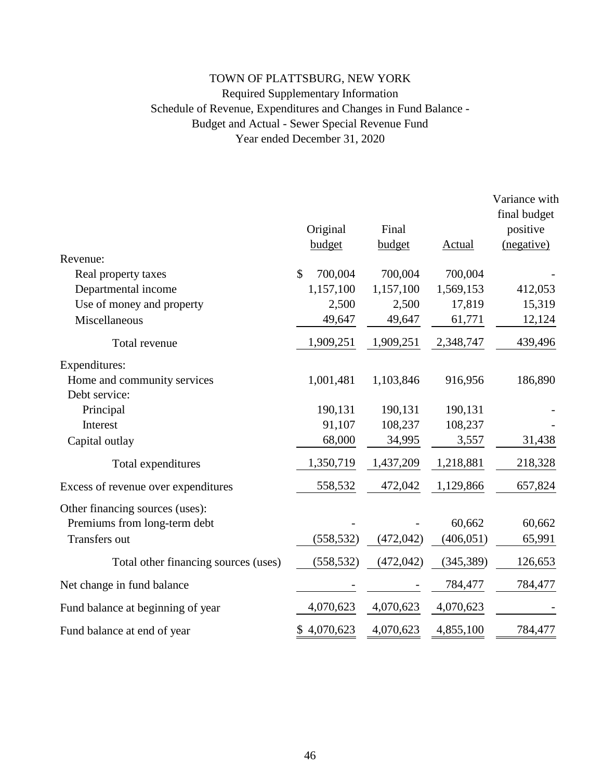# TOWN OF PLATTSBURG, NEW YORK Required Supplementary Information Schedule of Revenue, Expenditures and Changes in Fund Balance - Budget and Actual - Sewer Special Revenue Fund Year ended December 31, 2020

|                                      |                 |            |               | Variance with<br>final budget |
|--------------------------------------|-----------------|------------|---------------|-------------------------------|
|                                      | Original        | Final      |               | positive                      |
|                                      | budget          | budget     | <b>Actual</b> | (negative)                    |
| Revenue:                             |                 |            |               |                               |
| Real property taxes                  | \$<br>700,004   | 700,004    | 700,004       |                               |
| Departmental income                  | 1,157,100       | 1,157,100  | 1,569,153     | 412,053                       |
| Use of money and property            | 2,500           | 2,500      | 17,819        | 15,319                        |
| Miscellaneous                        | 49,647          | 49,647     | 61,771        | 12,124                        |
| Total revenue                        | 1,909,251       | 1,909,251  | 2,348,747     | 439,496                       |
| Expenditures:                        |                 |            |               |                               |
| Home and community services          | 1,001,481       | 1,103,846  | 916,956       | 186,890                       |
| Debt service:                        |                 |            |               |                               |
| Principal                            | 190,131         | 190,131    | 190,131       |                               |
| Interest                             | 91,107          | 108,237    | 108,237       |                               |
| Capital outlay                       | 68,000          | 34,995     | 3,557         | 31,438                        |
| Total expenditures                   | 1,350,719       | 1,437,209  | 1,218,881     | 218,328                       |
| Excess of revenue over expenditures  | 558,532         | 472,042    | 1,129,866     | 657,824                       |
| Other financing sources (uses):      |                 |            |               |                               |
| Premiums from long-term debt         |                 |            | 60,662        | 60,662                        |
| Transfers out                        | (558, 532)      | (472, 042) | (406, 051)    | 65,991                        |
| Total other financing sources (uses) | (558, 532)      | (472, 042) | (345, 389)    | 126,653                       |
| Net change in fund balance           |                 |            | 784,477       | 784,477                       |
| Fund balance at beginning of year    | 4,070,623       | 4,070,623  | 4,070,623     |                               |
| Fund balance at end of year          | 4,070,623<br>\$ | 4,070,623  | 4,855,100     | 784,477                       |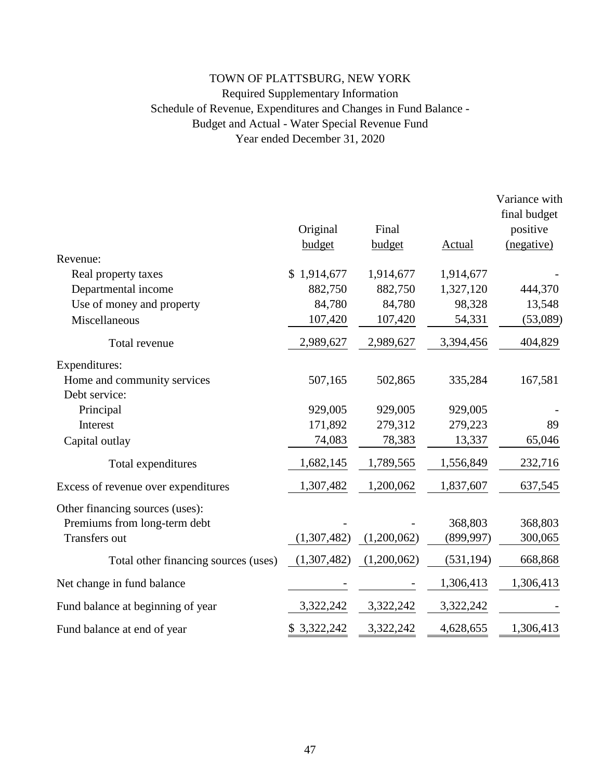# TOWN OF PLATTSBURG, NEW YORK Required Supplementary Information Schedule of Revenue, Expenditures and Changes in Fund Balance - Budget and Actual - Water Special Revenue Fund Year ended December 31, 2020

|                                      |             |             |            | Variance with<br>final budget |
|--------------------------------------|-------------|-------------|------------|-------------------------------|
|                                      | Original    | Final       |            | positive                      |
|                                      | budget      | budget      | Actual     | (negative)                    |
| Revenue:                             |             |             |            |                               |
| Real property taxes                  | \$1,914,677 | 1,914,677   | 1,914,677  |                               |
| Departmental income                  | 882,750     | 882,750     | 1,327,120  | 444,370                       |
| Use of money and property            | 84,780      | 84,780      | 98,328     | 13,548                        |
| Miscellaneous                        | 107,420     | 107,420     | 54,331     | (53,089)                      |
| Total revenue                        | 2,989,627   | 2,989,627   | 3,394,456  | 404,829                       |
| Expenditures:                        |             |             |            |                               |
| Home and community services          | 507,165     | 502,865     | 335,284    | 167,581                       |
| Debt service:                        |             |             |            |                               |
| Principal                            | 929,005     | 929,005     | 929,005    |                               |
| Interest                             | 171,892     | 279,312     | 279,223    | 89                            |
| Capital outlay                       | 74,083      | 78,383      | 13,337     | 65,046                        |
| Total expenditures                   | 1,682,145   | 1,789,565   | 1,556,849  | 232,716                       |
| Excess of revenue over expenditures  | 1,307,482   | 1,200,062   | 1,837,607  | 637,545                       |
| Other financing sources (uses):      |             |             |            |                               |
| Premiums from long-term debt         |             |             | 368,803    | 368,803                       |
| <b>Transfers out</b>                 | (1,307,482) | (1,200,062) | (899, 997) | 300,065                       |
| Total other financing sources (uses) | (1,307,482) | (1,200,062) | (531, 194) | 668,868                       |
| Net change in fund balance           |             |             | 1,306,413  | 1,306,413                     |
| Fund balance at beginning of year    | 3,322,242   | 3,322,242   | 3,322,242  |                               |
| Fund balance at end of year          | 3,322,242   | 3,322,242   | 4,628,655  | 1,306,413                     |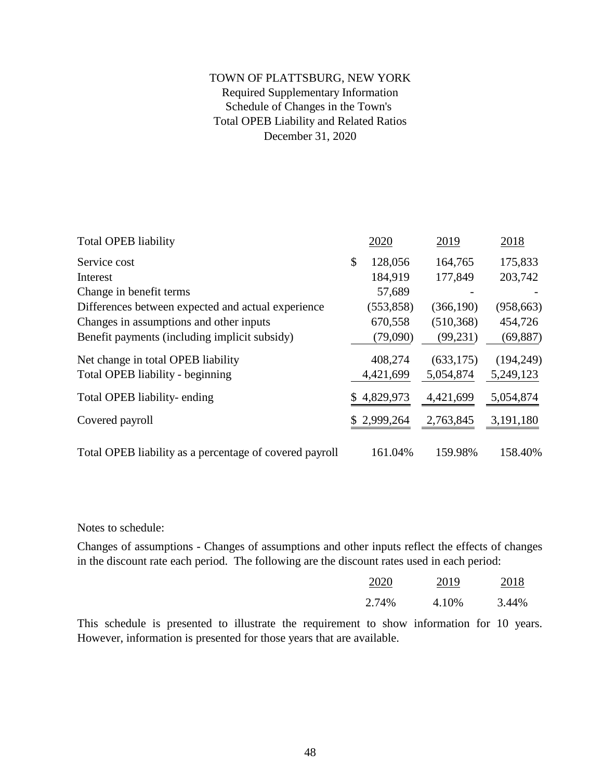# TOWN OF PLATTSBURG, NEW YORK Required Supplementary Information Schedule of Changes in the Town's Total OPEB Liability and Related Ratios December 31, 2020

| <b>Total OPEB liability</b>                             | 2020            | 2019       | 2018       |
|---------------------------------------------------------|-----------------|------------|------------|
| Service cost                                            | \$<br>128,056   | 164,765    | 175,833    |
| Interest                                                | 184,919         | 177,849    | 203,742    |
| Change in benefit terms                                 | 57,689          |            |            |
| Differences between expected and actual experience      | (553, 858)      | (366, 190) | (958, 663) |
| Changes in assumptions and other inputs                 | 670,558         | (510, 368) | 454,726    |
| Benefit payments (including implicit subsidy)           | (79,090)        | (99, 231)  | (69, 887)  |
| Net change in total OPEB liability                      | 408,274         | (633, 175) | (194, 249) |
| Total OPEB liability - beginning                        | 4,421,699       | 5,054,874  | 5,249,123  |
| Total OPEB liability-ending                             | 4,829,973<br>\$ | 4,421,699  | 5,054,874  |
| Covered payroll                                         | \$2,999,264     | 2,763,845  | 3,191,180  |
| Total OPEB liability as a percentage of covered payroll | 161.04%         | 159.98%    | 158.40%    |

Notes to schedule:

Changes of assumptions - Changes of assumptions and other inputs reflect the effects of changes in the discount rate each period. The following are the discount rates used in each period:

| 2020  | 2019  | 2018  |
|-------|-------|-------|
| 2.74% | 4.10% | 3.44% |

This schedule is presented to illustrate the requirement to show information for 10 years. However, information is presented for those years that are available.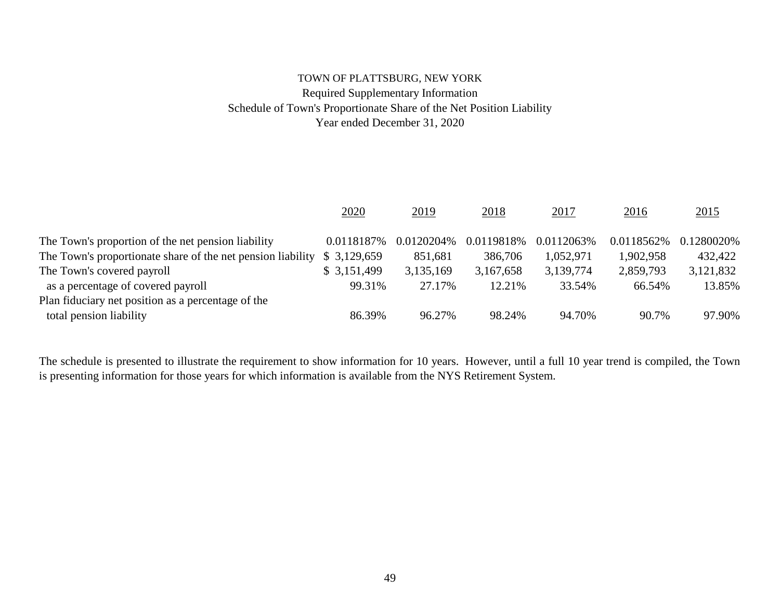# TOWN OF PLATTSBURG, NEW YORK Required Supplementary Information Schedule of Town's Proportionate Share of the Net Position Liability Year ended December 31, 2020

|                                                             | 2020        | 2019       | 2018       | 2017       | 2016       | 2015       |
|-------------------------------------------------------------|-------------|------------|------------|------------|------------|------------|
| The Town's proportion of the net pension liability          | 0.0118187%  | 0.0120204% | 0.0119818% | 0.0112063% | 0.0118562% | 0.1280020% |
| The Town's proportionate share of the net pension liability | \$3,129,659 | 851,681    | 386,706    | 1,052,971  | 1,902,958  | 432,422    |
| The Town's covered payroll                                  | \$3,151,499 | 3,135,169  | 3,167,658  | 3,139,774  | 2,859,793  | 3,121,832  |
| as a percentage of covered payroll                          | 99.31%      | 27.17%     | 12.21%     | 33.54%     | 66.54%     | 13.85%     |
| Plan fiduciary net position as a percentage of the          |             |            |            |            |            |            |
| total pension liability                                     | 86.39%      | 96.27%     | 98.24%     | 94.70%     | 90.7%      | 97.90%     |

The schedule is presented to illustrate the requirement to show information for 10 years. However, until a full 10 year trend is compiled, the Town is presenting information for those years for which information is available from the NYS Retirement System.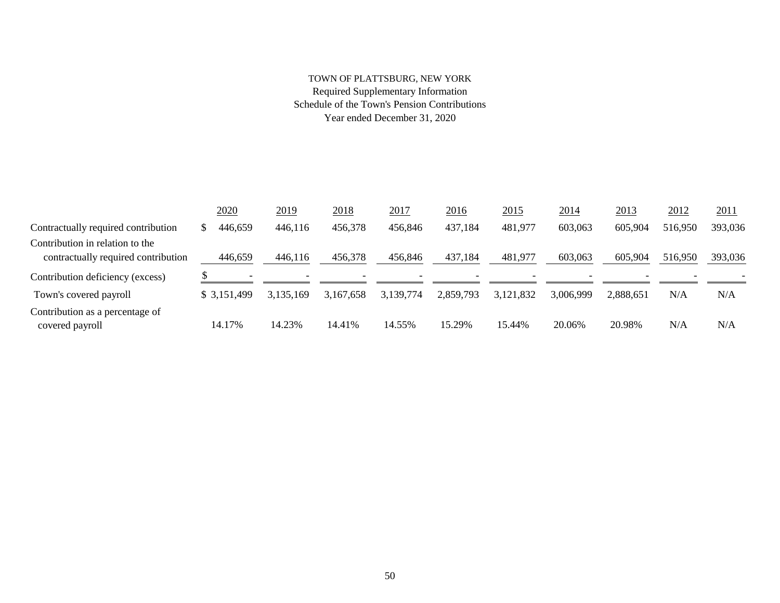# TOWN OF PLATTSBURG, NEW YORK Required Supplementary Information Schedule of the Town's Pension Contributions Year ended December 31, 2020

|                                                                        | 2020         | 2019      | 2018      | <u> 2017</u> | 2016      | 2015      | 2014      | 2013      | 2012    | <u>2011</u> |
|------------------------------------------------------------------------|--------------|-----------|-----------|--------------|-----------|-----------|-----------|-----------|---------|-------------|
| Contractually required contribution                                    | 446,659      | 446,116   | 456,378   | 456,846      | 437,184   | 481,977   | 603,063   | 605,904   | 516,950 | 393,036     |
| Contribution in relation to the<br>contractually required contribution | 446,659      | 446,116   | 456,378   | 456,846      | 437,184   | 481,977   | 603,063   | 605,904   | 516,950 | 393,036     |
| Contribution deficiency (excess)                                       |              |           |           |              |           |           |           |           |         |             |
| Town's covered payroll                                                 | \$ 3.151.499 | 3,135,169 | 3,167,658 | 3,139,774    | 2,859,793 | 3,121,832 | 3.006.999 | 2,888,651 | N/A     | N/A         |
| Contribution as a percentage of<br>covered payroll                     | 14.17%       | 14.23%    | 14.41%    | 14.55%       | 15.29%    | 15.44%    | 20.06%    | 20.98%    | N/A     | N/A         |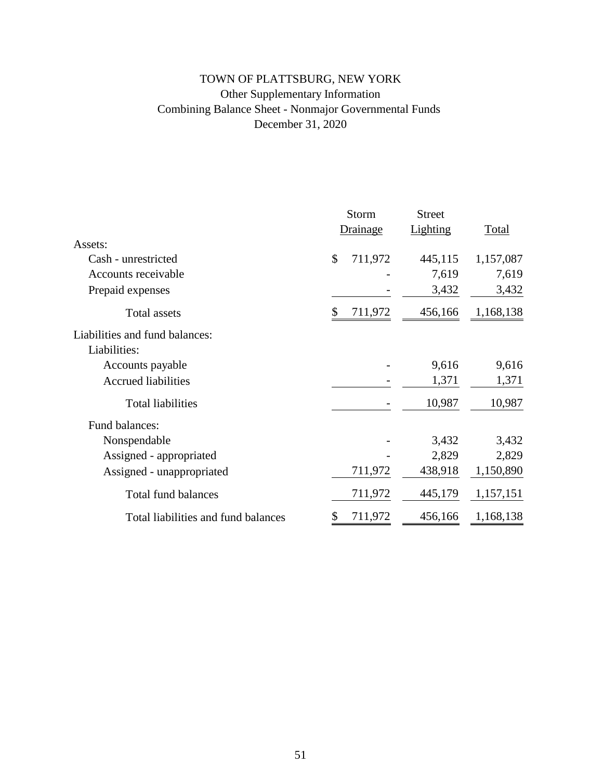# TOWN OF PLATTSBURG, NEW YORK Combining Balance Sheet - Nonmajor Governmental Funds December 31, 2020 Other Supplementary Information

|                                     | Storm         | <b>Street</b>   |              |  |
|-------------------------------------|---------------|-----------------|--------------|--|
|                                     | Drainage      | <b>Lighting</b> | <b>Total</b> |  |
| Assets:                             |               |                 |              |  |
| Cash - unrestricted                 | \$<br>711,972 | 445,115         | 1,157,087    |  |
| Accounts receivable                 |               | 7,619           | 7,619        |  |
| Prepaid expenses                    |               | 3,432           | 3,432        |  |
| <b>Total assets</b>                 | \$<br>711,972 | 456,166         | 1,168,138    |  |
| Liabilities and fund balances:      |               |                 |              |  |
| Liabilities:                        |               |                 |              |  |
| Accounts payable                    |               | 9,616           | 9,616        |  |
| <b>Accrued liabilities</b>          |               | 1,371           | 1,371        |  |
| <b>Total liabilities</b>            |               | 10,987          | 10,987       |  |
| Fund balances:                      |               |                 |              |  |
| Nonspendable                        |               | 3,432           | 3,432        |  |
| Assigned - appropriated             |               | 2,829           | 2,829        |  |
| Assigned - unappropriated           | 711,972       | 438,918         | 1,150,890    |  |
| Total fund balances                 | 711,972       | 445,179         | 1,157,151    |  |
| Total liabilities and fund balances | 711,972       | 456,166         | 1,168,138    |  |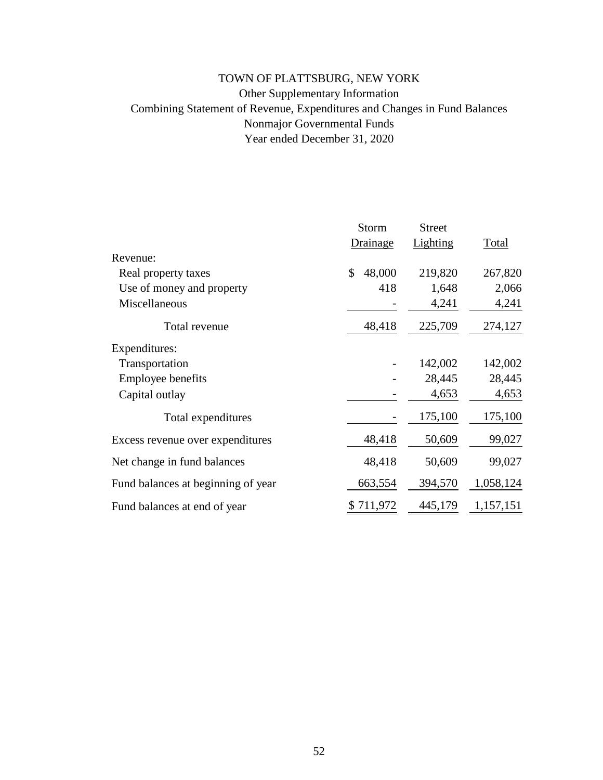# TOWN OF PLATTSBURG, NEW YORK Combining Statement of Revenue, Expenditures and Changes in Fund Balances Nonmajor Governmental Funds Year ended December 31, 2020 Other Supplementary Information

|                                    | Storm        | <b>Street</b>   |              |  |
|------------------------------------|--------------|-----------------|--------------|--|
|                                    | Drainage     | <b>Lighting</b> | <b>Total</b> |  |
| Revenue:                           |              |                 |              |  |
| Real property taxes                | \$<br>48,000 | 219,820         | 267,820      |  |
| Use of money and property          | 418          | 1,648           | 2,066        |  |
| Miscellaneous                      |              | 4,241           | 4,241        |  |
| Total revenue                      | 48,418       | 225,709         | 274,127      |  |
| Expenditures:                      |              |                 |              |  |
| Transportation                     |              | 142,002         | 142,002      |  |
| <b>Employee benefits</b>           |              | 28,445          | 28,445       |  |
| Capital outlay                     |              | 4,653           | 4,653        |  |
| Total expenditures                 |              | 175,100         | 175,100      |  |
| Excess revenue over expenditures   | 48,418       | 50,609          | 99,027       |  |
| Net change in fund balances        | 48,418       | 50,609          | 99,027       |  |
| Fund balances at beginning of year | 663,554      | 394,570         | 1,058,124    |  |
| Fund balances at end of year       | \$711,972    | 445,179         | 1,157,151    |  |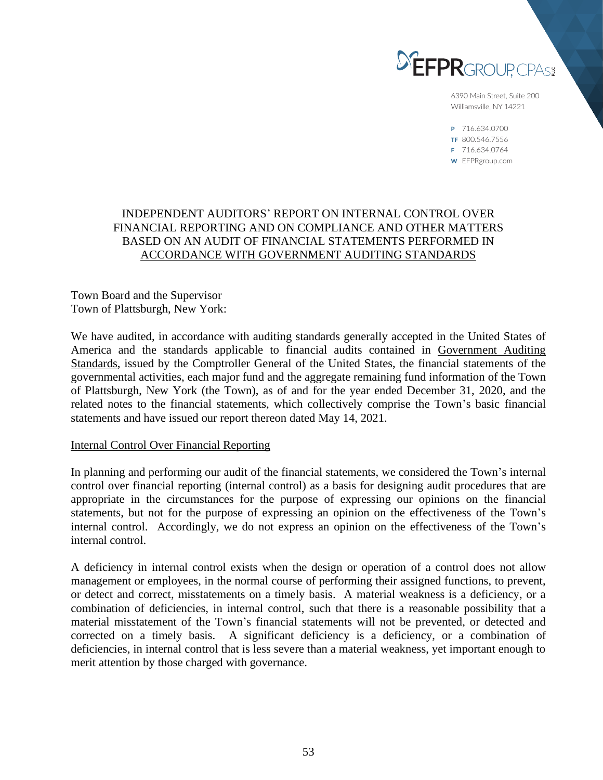

6390 Main Street, Suite 200 Williamsville, NY 14221

P 716.634.0700 TF 800.546.7556 F 716.634.0764 W EFPRgroup.com

# INDEPENDENT AUDITORS' REPORT ON INTERNAL CONTROL OVER FINANCIAL REPORTING AND ON COMPLIANCE AND OTHER MATTERS BASED ON AN AUDIT OF FINANCIAL STATEMENTS PERFORMED IN ACCORDANCE WITH GOVERNMENT AUDITING STANDARDS

Town Board and the Supervisor Town of Plattsburgh, New York:

We have audited, in accordance with auditing standards generally accepted in the United States of America and the standards applicable to financial audits contained in Government Auditing Standards, issued by the Comptroller General of the United States, the financial statements of the governmental activities, each major fund and the aggregate remaining fund information of the Town of Plattsburgh, New York (the Town), as of and for the year ended December 31, 2020, and the related notes to the financial statements, which collectively comprise the Town's basic financial statements and have issued our report thereon dated May 14, 2021.

### Internal Control Over Financial Reporting

In planning and performing our audit of the financial statements, we considered the Town's internal control over financial reporting (internal control) as a basis for designing audit procedures that are appropriate in the circumstances for the purpose of expressing our opinions on the financial statements, but not for the purpose of expressing an opinion on the effectiveness of the Town's internal control. Accordingly, we do not express an opinion on the effectiveness of the Town's internal control.

A deficiency in internal control exists when the design or operation of a control does not allow management or employees, in the normal course of performing their assigned functions, to prevent, or detect and correct, misstatements on a timely basis. A material weakness is a deficiency, or a combination of deficiencies, in internal control, such that there is a reasonable possibility that a material misstatement of the Town's financial statements will not be prevented, or detected and corrected on a timely basis. A significant deficiency is a deficiency, or a combination of deficiencies, in internal control that is less severe than a material weakness, yet important enough to merit attention by those charged with governance.